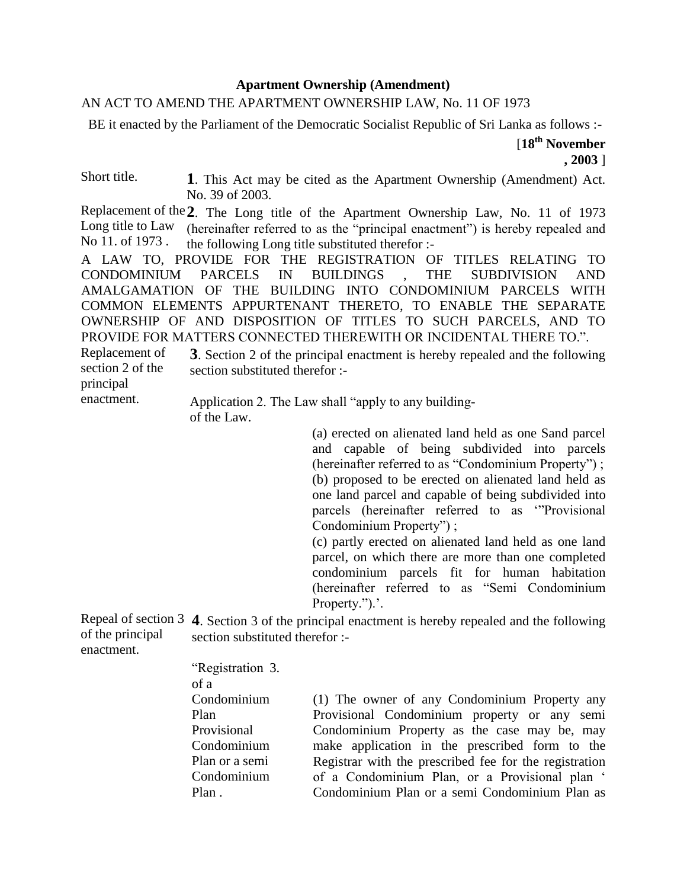## **Apartment Ownership (Amendment)**

## AN ACT TO AMEND THE APARTMENT OWNERSHIP LAW, No. 11 OF 1973

BE it enacted by the Parliament of the Democratic Socialist Republic of Sri Lanka as follows :-

Short title. **1**. This Act may be cited as the Apartment Ownership (Amendment) Act. No. 39 of 2003.

Replacement of the **2**. The Long title of the Apartment Ownership Law, No. 11 of 1973 Long title to Law No 11. of 1973 . (hereinafter referred to as the "principal enactment") is hereby repealed and the following Long title substituted therefor :-

A LAW TO, PROVIDE FOR THE REGISTRATION OF TITLES RELATING TO CONDOMINIUM PARCELS IN BUILDINGS , THE SUBDIVISION AND AMALGAMATION OF THE BUILDING INTO CONDOMINIUM PARCELS WITH COMMON ELEMENTS APPURTENANT THERETO, TO ENABLE THE SEPARATE OWNERSHIP OF AND DISPOSITION OF TITLES TO SUCH PARCELS, AND TO PROVIDE FOR MATTERS CONNECTED THEREWITH OR INCIDENTAL THERE TO.".

Replacement of section 2 of the **3**. Section 2 of the principal enactment is hereby repealed and the following section substituted therefor :-

principal enactment.

Application 2. The Law shall "apply to any building of the Law.

> (a) erected on alienated land held as one Sand parcel and capable of being subdivided into parcels (hereinafter referred to as "Condominium Property") ; (b) proposed to be erected on alienated land held as one land parcel and capable of being subdivided into parcels (hereinafter referred to as '"Provisional Condominium Property") ;

> (c) partly erected on alienated land held as one land parcel, on which there are more than one completed condominium parcels fit for human habitation (hereinafter referred to as "Semi Condominium Property.").'.

Repeal of section 3 **4**. Section 3 of the principal enactment is hereby repealed and the following of the principal enactment. section substituted therefor :-

> "Registration 3. of a Condominium Plan Provisional Condominium Plan or a semi Condominium Plan .

(1) The owner of any Condominium Property any Provisional Condominium property or any semi Condominium Property as the case may be, may make application in the prescribed form to the Registrar with the prescribed fee for the registration of a Condominium Plan, or a Provisional plan ' Condominium Plan or a semi Condominium Plan as

<sup>[</sup>**18th November , 2003** ]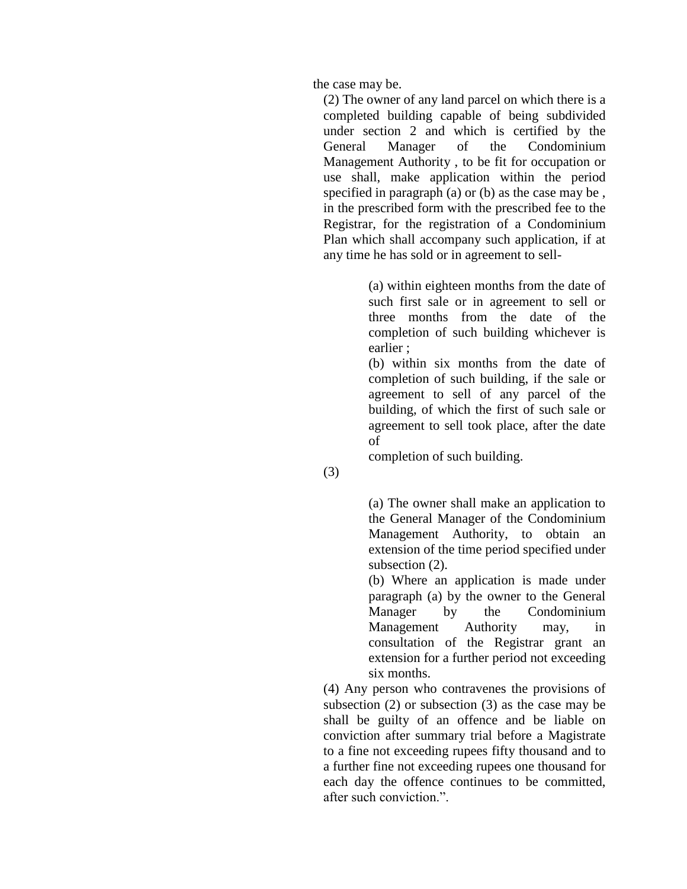the case may be.

(2) The owner of any land parcel on which there is a completed building capable of being subdivided under section 2 and which is certified by the General Manager of the Condominium Management Authority , to be fit for occupation or use shall, make application within the period specified in paragraph (a) or (b) as the case may be , in the prescribed form with the prescribed fee to the Registrar, for the registration of a Condominium Plan which shall accompany such application, if at any time he has sold or in agreement to sell-

> (a) within eighteen months from the date of such first sale or in agreement to sell or three months from the date of the completion of such building whichever is earlier ;

> (b) within six months from the date of completion of such building, if the sale or agreement to sell of any parcel of the building, of which the first of such sale or agreement to sell took place, after the date of

completion of such building.

(3)

(a) The owner shall make an application to the General Manager of the Condominium Management Authority, to obtain an extension of the time period specified under subsection  $(2)$ .

(b) Where an application is made under paragraph (a) by the owner to the General Manager by the Condominium Management Authority may, in consultation of the Registrar grant an extension for a further period not exceeding six months.

(4) Any person who contravenes the provisions of subsection (2) or subsection (3) as the case may be shall be guilty of an offence and be liable on conviction after summary trial before a Magistrate to a fine not exceeding rupees fifty thousand and to a further fine not exceeding rupees one thousand for each day the offence continues to be committed, after such conviction.".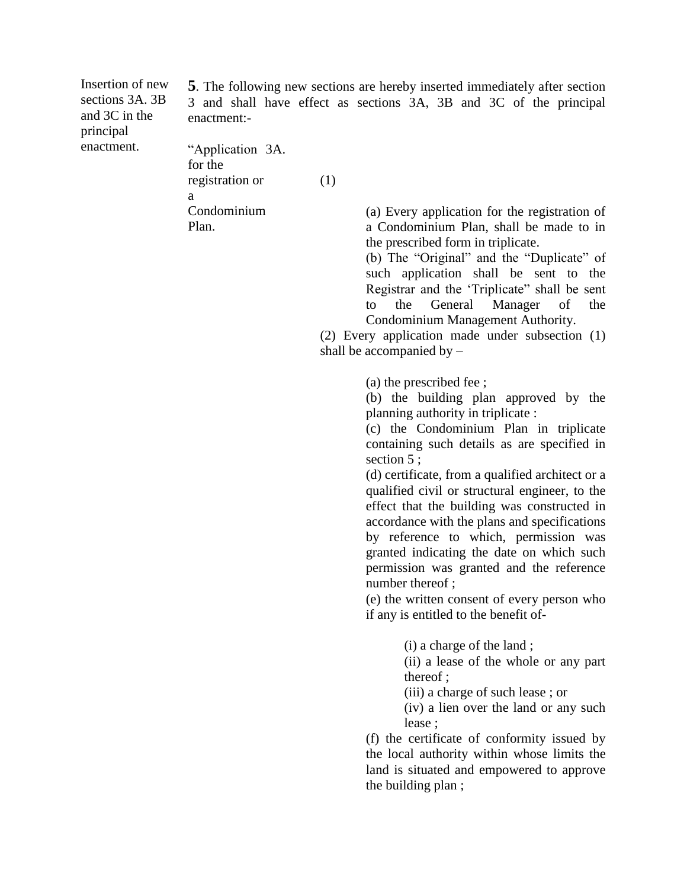Insertion of new sections 3A. 3B and 3C in the principal enactment.

**5**. The following new sections are hereby inserted immediately after section 3 and shall have effect as sections 3A, 3B and 3C of the principal enactment:-

"Application 3A. for the registration or a Condominium Plan. (1)

(a) Every application for the registration of a Condominium Plan, shall be made to in the prescribed form in triplicate.

(b) The "Original" and the "Duplicate" of such application shall be sent to the Registrar and the 'Triplicate" shall be sent to the General Manager of the Condominium Management Authority.

(2) Every application made under subsection (1) shall be accompanied by –

(a) the prescribed fee ;

(b) the building plan approved by the planning authority in triplicate :

(c) the Condominium Plan in triplicate containing such details as are specified in section 5 ;

(d) certificate, from a qualified architect or a qualified civil or structural engineer, to the effect that the building was constructed in accordance with the plans and specifications by reference to which, permission was granted indicating the date on which such permission was granted and the reference number thereof ;

(e) the written consent of every person who if any is entitled to the benefit of-

(i) a charge of the land ;

(ii) a lease of the whole or any part thereof ;

(iii) a charge of such lease ; or

(iv) a lien over the land or any such lease ;

(f) the certificate of conformity issued by the local authority within whose limits the land is situated and empowered to approve the building plan ;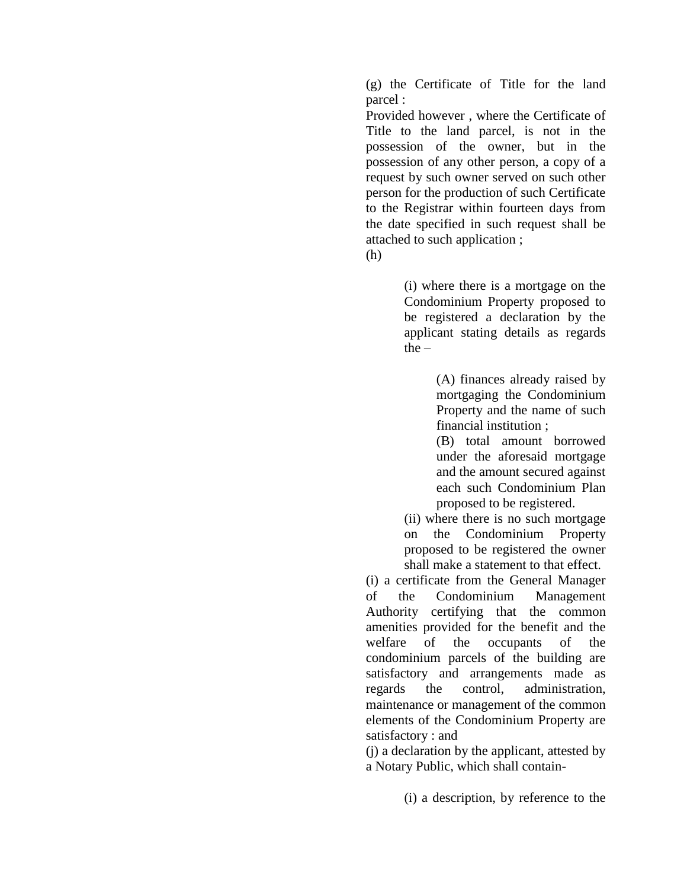(g) the Certificate of Title for the land parcel :

Provided however , where the Certificate of Title to the land parcel, is not in the possession of the owner, but in the possession of any other person, a copy of a request by such owner served on such other person for the production of such Certificate to the Registrar within fourteen days from the date specified in such request shall be attached to such application ;

(h)

(i) where there is a mortgage on the Condominium Property proposed to be registered a declaration by the applicant stating details as regards the –

> (A) finances already raised by mortgaging the Condominium Property and the name of such financial institution ;

(B) total amount borrowed under the aforesaid mortgage and the amount secured against each such Condominium Plan proposed to be registered.

(ii) where there is no such mortgage on the Condominium Property proposed to be registered the owner shall make a statement to that effect.

(i) a certificate from the General Manager of the Condominium Management Authority certifying that the common amenities provided for the benefit and the welfare of the occupants of the condominium parcels of the building are satisfactory and arrangements made as regards the control, administration, maintenance or management of the common elements of the Condominium Property are satisfactory : and

(j) a declaration by the applicant, attested by a Notary Public, which shall contain-

(i) a description, by reference to the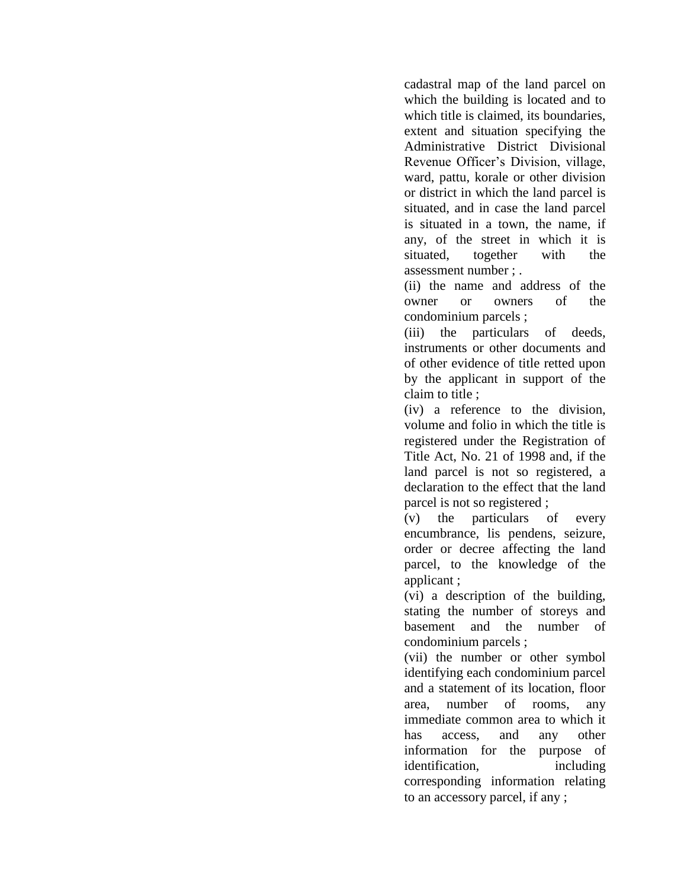cadastral map of the land parcel on which the building is located and to which title is claimed, its boundaries, extent and situation specifying the Administrative District Divisional Revenue Officer's Division, village, ward, pattu, korale or other division or district in which the land parcel is situated, and in case the land parcel is situated in a town, the name, if any, of the street in which it is situated, together with the assessment number ; .

(ii) the name and address of the owner or owners of the condominium parcels ;

(iii) the particulars of deeds, instruments or other documents and of other evidence of title retted upon by the applicant in support of the claim to title ;

(iv) a reference to the division, volume and folio in which the title is registered under the Registration of Title Act, No. 21 of 1998 and, if the land parcel is not so registered, a declaration to the effect that the land parcel is not so registered ;

(v) the particulars of every encumbrance, lis pendens, seizure, order or decree affecting the land parcel, to the knowledge of the applicant ;

(vi) a description of the building, stating the number of storeys and basement and the number of condominium parcels ;

(vii) the number or other symbol identifying each condominium parcel and a statement of its location, floor area, number of rooms, any immediate common area to which it has access, and any other information for the purpose of identification, including corresponding information relating to an accessory parcel, if any ;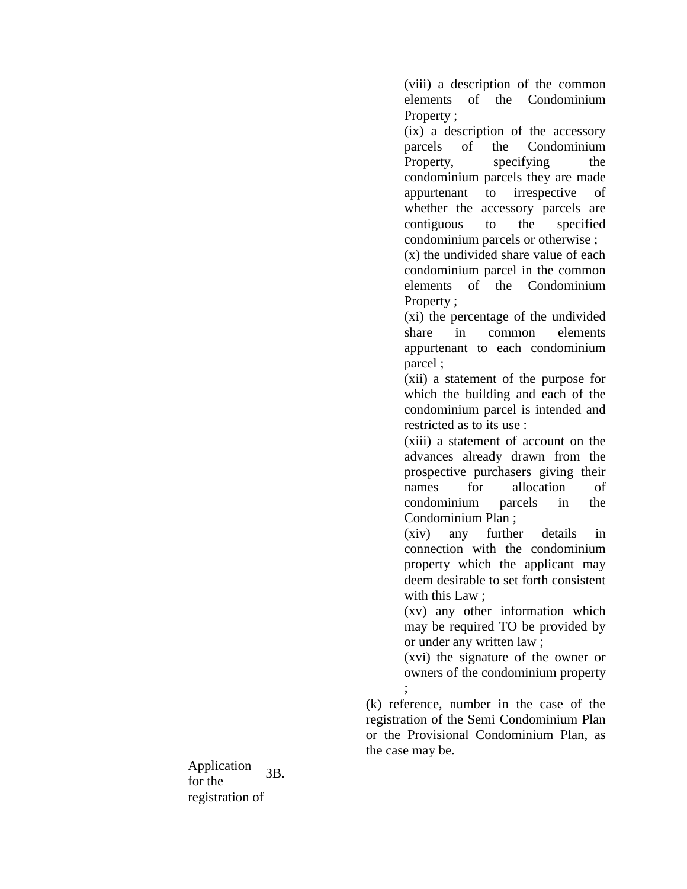(viii) a description of the common elements of the Condominium Property :

(ix) a description of the accessory parcels of the Condominium Property, specifying the condominium parcels they are made appurtenant to irrespective of whether the accessory parcels are contiguous to the specified condominium parcels or otherwise ;

(x) the undivided share value of each condominium parcel in the common elements of the Condominium Property ;

(xi) the percentage of the undivided share in common elements appurtenant to each condominium parcel ;

(xii) a statement of the purpose for which the building and each of the condominium parcel is intended and restricted as to its use :

(xiii) a statement of account on the advances already drawn from the prospective purchasers giving their names for allocation of condominium parcels in the Condominium Plan ;

(xiv) any further details in connection with the condominium property which the applicant may deem desirable to set forth consistent with this Law :

(xv) any other information which may be required TO be provided by or under any written law ;

(xvi) the signature of the owner or owners of the condominium property

; (k) reference, number in the case of the registration of the Semi Condominium Plan or the Provisional Condominium Plan, as the case may be.

Application for the registration of 3B.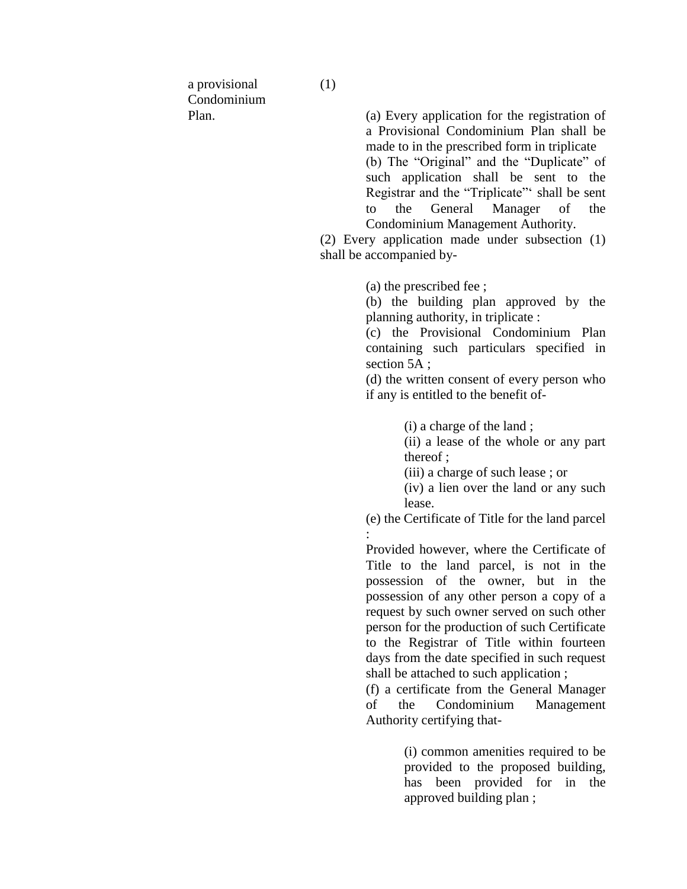a provisional Condominium Plan.

(a) Every application for the registration of a Provisional Condominium Plan shall be made to in the prescribed form in triplicate (b) The "Original" and the "Duplicate" of such application shall be sent to the Registrar and the "Triplicate"' shall be sent to the General Manager of the Condominium Management Authority.

(2) Every application made under subsection (1) shall be accompanied by-

(a) the prescribed fee ;

(b) the building plan approved by the planning authority, in triplicate :

(c) the Provisional Condominium Plan containing such particulars specified in section 5A;

(d) the written consent of every person who if any is entitled to the benefit of-

(i) a charge of the land ;

(ii) a lease of the whole or any part thereof ;

(iii) a charge of such lease ; or

(iv) a lien over the land or any such lease.

(e) the Certificate of Title for the land parcel :

Provided however, where the Certificate of Title to the land parcel, is not in the possession of the owner, but in the possession of any other person a copy of a request by such owner served on such other person for the production of such Certificate to the Registrar of Title within fourteen days from the date specified in such request shall be attached to such application ;

(f) a certificate from the General Manager of the Condominium Management Authority certifying that-

> (i) common amenities required to be provided to the proposed building, has been provided for in the approved building plan ;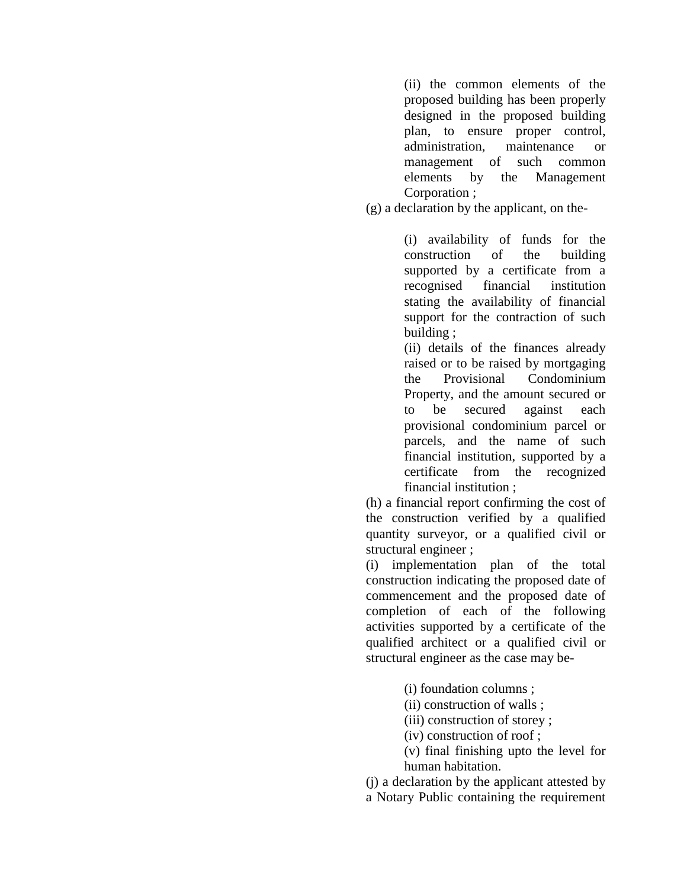(ii) the common elements of the proposed building has been properly designed in the proposed building plan, to ensure proper control, administration, maintenance or management of such common elements by the Management Corporation ;

(g) a declaration by the applicant, on the-

(i) availability of funds for the construction of the building supported by a certificate from a recognised financial institution stating the availability of financial support for the contraction of such building ;

(ii) details of the finances already raised or to be raised by mortgaging the Provisional Condominium Property, and the amount secured or to be secured against each provisional condominium parcel or parcels, and the name of such financial institution, supported by a certificate from the recognized financial institution ;

(h) a financial report confirming the cost of the construction verified by a qualified quantity surveyor, or a qualified civil or structural engineer ;

(i) implementation plan of the total construction indicating the proposed date of commencement and the proposed date of completion of each of the following activities supported by a certificate of the qualified architect or a qualified civil or structural engineer as the case may be-

(i) foundation columns ;

(ii) construction of walls ;

(iii) construction of storey ;

(iv) construction of roof ;

(v) final finishing upto the level for human habitation.

(j) a declaration by the applicant attested by

a Notary Public containing the requirement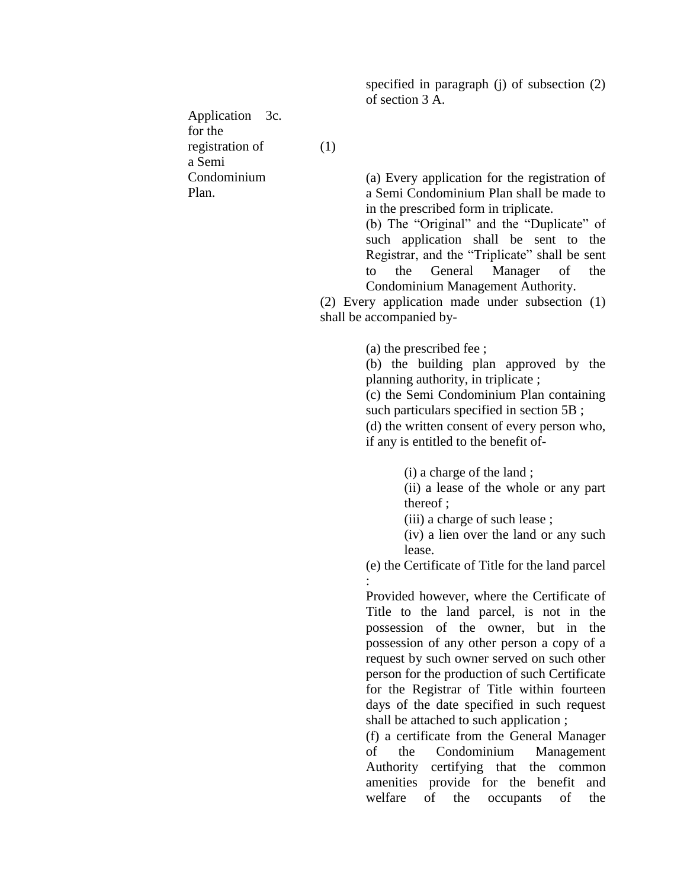specified in paragraph (j) of subsection (2) of section 3 A.

Application 3c. for the registration of a Semi Condominium Plan.

(1)

(a) Every application for the registration of a Semi Condominium Plan shall be made to in the prescribed form in triplicate.

(b) The "Original" and the "Duplicate" of such application shall be sent to the Registrar, and the "Triplicate" shall be sent to the General Manager of the Condominium Management Authority.

(2) Every application made under subsection (1) shall be accompanied by-

(a) the prescribed fee ;

(b) the building plan approved by the planning authority, in triplicate ;

(c) the Semi Condominium Plan containing such particulars specified in section 5B ;

(d) the written consent of every person who, if any is entitled to the benefit of-

(i) a charge of the land ;

(ii) a lease of the whole or any part thereof ;

(iii) a charge of such lease ;

(iv) a lien over the land or any such lease.

(e) the Certificate of Title for the land parcel :

Provided however, where the Certificate of Title to the land parcel, is not in the possession of the owner, but in the possession of any other person a copy of a request by such owner served on such other person for the production of such Certificate for the Registrar of Title within fourteen days of the date specified in such request shall be attached to such application ;

(f) a certificate from the General Manager of the Condominium Management Authority certifying that the common amenities provide for the benefit and welfare of the occupants of the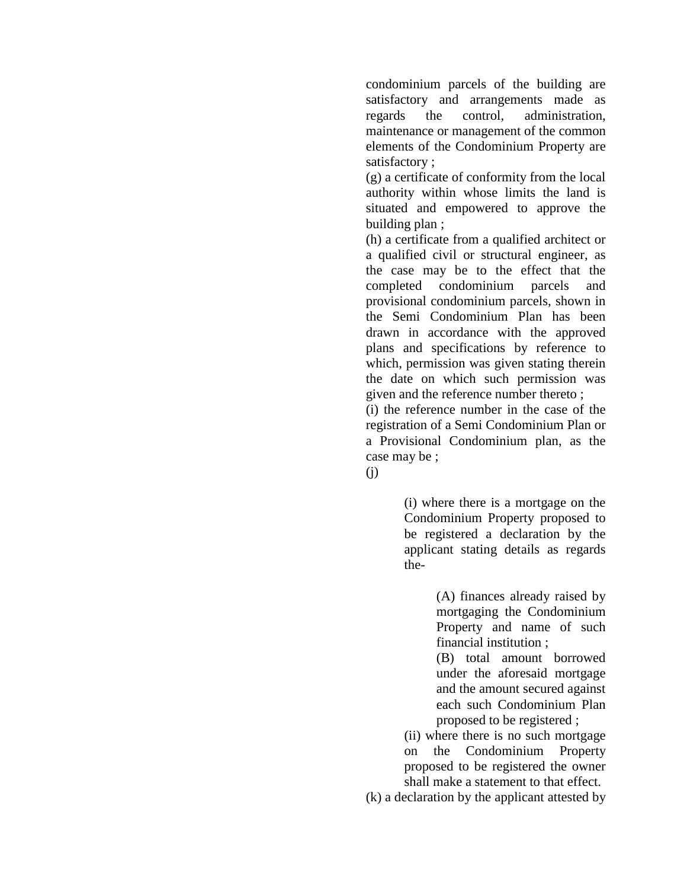condominium parcels of the building are satisfactory and arrangements made as regards the control, administration, maintenance or management of the common elements of the Condominium Property are satisfactory ;

(g) a certificate of conformity from the local authority within whose limits the land is situated and empowered to approve the building plan ;

(h) a certificate from a qualified architect or a qualified civil or structural engineer, as the case may be to the effect that the completed condominium parcels and provisional condominium parcels, shown in the Semi Condominium Plan has been drawn in accordance with the approved plans and specifications by reference to which, permission was given stating therein the date on which such permission was given and the reference number thereto ;

(i) the reference number in the case of the registration of a Semi Condominium Plan or a Provisional Condominium plan, as the case may be ;

(j)

(i) where there is a mortgage on the Condominium Property proposed to be registered a declaration by the applicant stating details as regards the-

> (A) finances already raised by mortgaging the Condominium Property and name of such financial institution ;

> (B) total amount borrowed under the aforesaid mortgage and the amount secured against each such Condominium Plan proposed to be registered ;

(ii) where there is no such mortgage on the Condominium Property proposed to be registered the owner shall make a statement to that effect.

(k) a declaration by the applicant attested by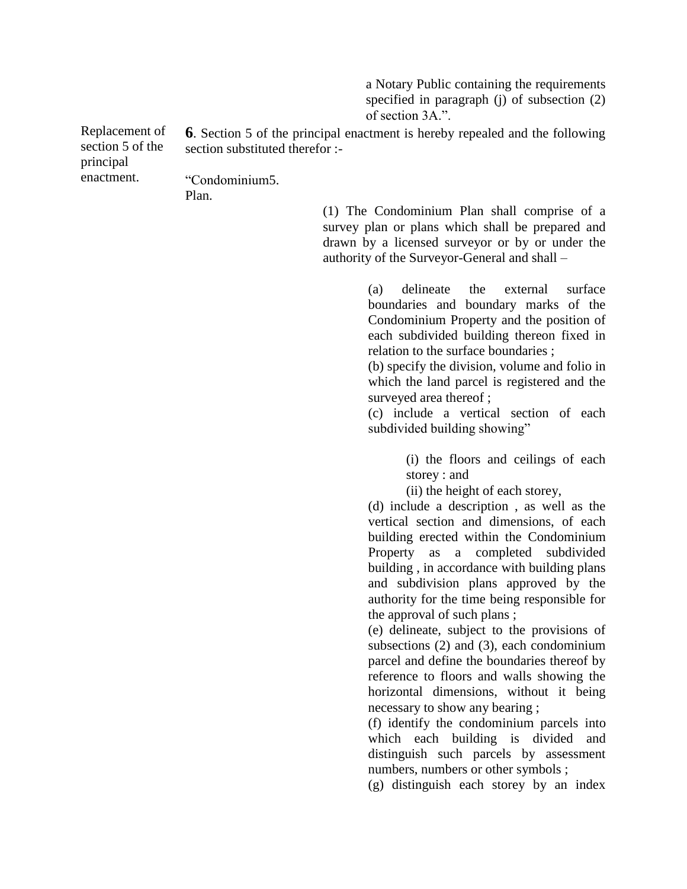a Notary Public containing the requirements specified in paragraph (i) of subsection (2) of section 3A.".

Replacement of section 5 of the principal enactment. **6**. Section 5 of the principal enactment is hereby repealed and the following section substituted therefor :-"Condominium 5.

Plan.

(1) The Condominium Plan shall comprise of a survey plan or plans which shall be prepared and drawn by a licensed surveyor or by or under the authority of the Surveyor-General and shall –

> (a) delineate the external surface boundaries and boundary marks of the Condominium Property and the position of each subdivided building thereon fixed in relation to the surface boundaries ;

> (b) specify the division, volume and folio in which the land parcel is registered and the surveyed area thereof ;

> (c) include a vertical section of each subdivided building showing"

> > (i) the floors and ceilings of each storey : and

(ii) the height of each storey,

(d) include a description , as well as the vertical section and dimensions, of each building erected within the Condominium Property as a completed subdivided building , in accordance with building plans and subdivision plans approved by the authority for the time being responsible for the approval of such plans ;

(e) delineate, subject to the provisions of subsections (2) and (3), each condominium parcel and define the boundaries thereof by reference to floors and walls showing the horizontal dimensions, without it being necessary to show any bearing ;

(f) identify the condominium parcels into which each building is divided and distinguish such parcels by assessment numbers, numbers or other symbols ;

(g) distinguish each storey by an index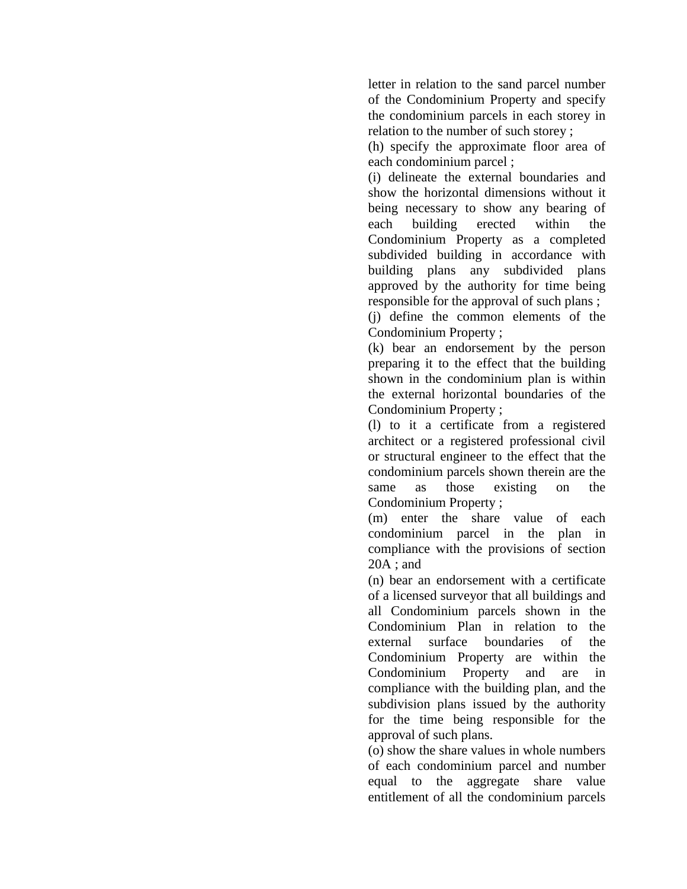letter in relation to the sand parcel number of the Condominium Property and specify the condominium parcels in each storey in relation to the number of such storey ;

(h) specify the approximate floor area of each condominium parcel ;

(i) delineate the external boundaries and show the horizontal dimensions without it being necessary to show any bearing of each building erected within the Condominium Property as a completed subdivided building in accordance with building plans any subdivided plans approved by the authority for time being responsible for the approval of such plans ; (j) define the common elements of the

Condominium Property ;

(k) bear an endorsement by the person preparing it to the effect that the building shown in the condominium plan is within the external horizontal boundaries of the Condominium Property ;

(l) to it a certificate from a registered architect or a registered professional civil or structural engineer to the effect that the condominium parcels shown therein are the same as those existing on the Condominium Property ;

(m) enter the share value of each condominium parcel in the plan in compliance with the provisions of section 20A ; and

(n) bear an endorsement with a certificate of a licensed surveyor that all buildings and all Condominium parcels shown in the Condominium Plan in relation to the external surface boundaries of the Condominium Property are within the Condominium Property and are in compliance with the building plan, and the subdivision plans issued by the authority for the time being responsible for the approval of such plans.

(o) show the share values in whole numbers of each condominium parcel and number equal to the aggregate share value entitlement of all the condominium parcels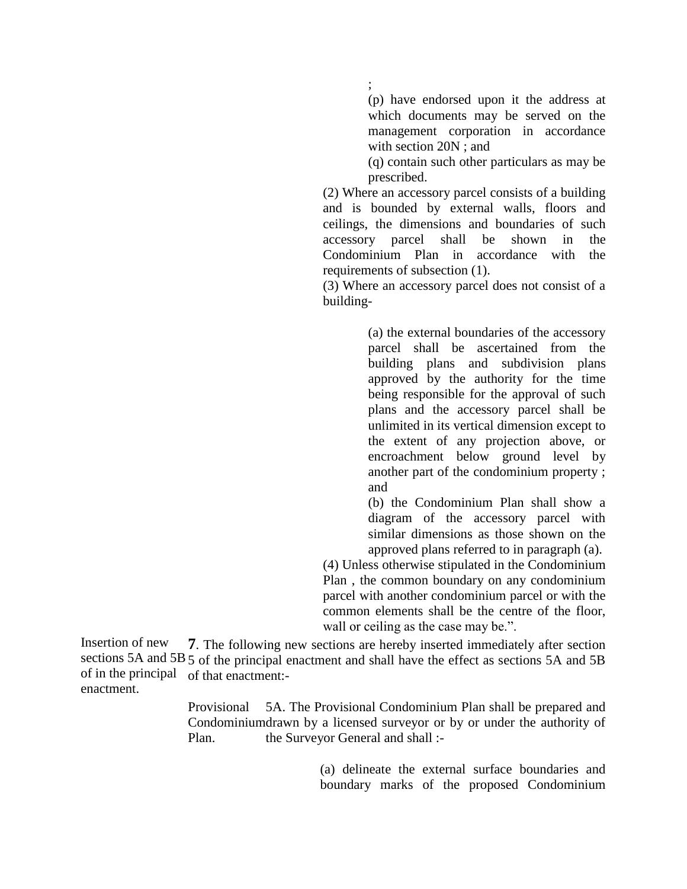(p) have endorsed upon it the address at which documents may be served on the management corporation in accordance with section 20N ; and

(q) contain such other particulars as may be prescribed.

(2) Where an accessory parcel consists of a building and is bounded by external walls, floors and ceilings, the dimensions and boundaries of such accessory parcel shall be shown in the Condominium Plan in accordance with the requirements of subsection (1).

(3) Where an accessory parcel does not consist of a building-

> (a) the external boundaries of the accessory parcel shall be ascertained from the building plans and subdivision plans approved by the authority for the time being responsible for the approval of such plans and the accessory parcel shall be unlimited in its vertical dimension except to the extent of any projection above, or encroachment below ground level by another part of the condominium property ; and

> (b) the Condominium Plan shall show a diagram of the accessory parcel with similar dimensions as those shown on the approved plans referred to in paragraph (a).

(4) Unless otherwise stipulated in the Condominium Plan , the common boundary on any condominium parcel with another condominium parcel or with the common elements shall be the centre of the floor, wall or ceiling as the case may be.".

Insertion of new sections 5A and 5B 5 of the principal enactment and shall have the effect as sections 5A and 5B of in the principal of that enactment: enactment. **7**. The following new sections are hereby inserted immediately after section

> Provisional Condominium drawn by a licensed surveyor or by or under the authority of Plan. 5A. The Provisional Condominium Plan shall be prepared and the Surveyor General and shall :-

> > (a) delineate the external surface boundaries and boundary marks of the proposed Condominium

;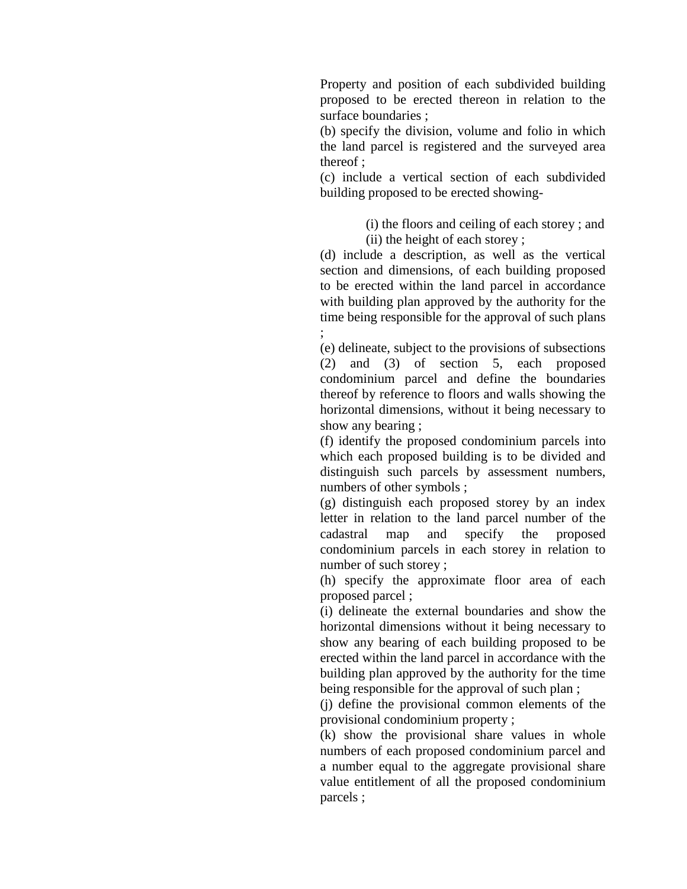Property and position of each subdivided building proposed to be erected thereon in relation to the surface boundaries ;

(b) specify the division, volume and folio in which the land parcel is registered and the surveyed area thereof ;

(c) include a vertical section of each subdivided building proposed to be erected showing-

> (i) the floors and ceiling of each storey ; and (ii) the height of each storey ;

(d) include a description, as well as the vertical section and dimensions, of each building proposed to be erected within the land parcel in accordance with building plan approved by the authority for the time being responsible for the approval of such plans ;

(e) delineate, subject to the provisions of subsections (2) and (3) of section 5, each proposed condominium parcel and define the boundaries thereof by reference to floors and walls showing the horizontal dimensions, without it being necessary to show any bearing ;

(f) identify the proposed condominium parcels into which each proposed building is to be divided and distinguish such parcels by assessment numbers, numbers of other symbols ;

(g) distinguish each proposed storey by an index letter in relation to the land parcel number of the cadastral map and specify the proposed condominium parcels in each storey in relation to number of such storey ;

(h) specify the approximate floor area of each proposed parcel ;

(i) delineate the external boundaries and show the horizontal dimensions without it being necessary to show any bearing of each building proposed to be erected within the land parcel in accordance with the building plan approved by the authority for the time being responsible for the approval of such plan ;

(j) define the provisional common elements of the provisional condominium property ;

(k) show the provisional share values in whole numbers of each proposed condominium parcel and a number equal to the aggregate provisional share value entitlement of all the proposed condominium parcels ;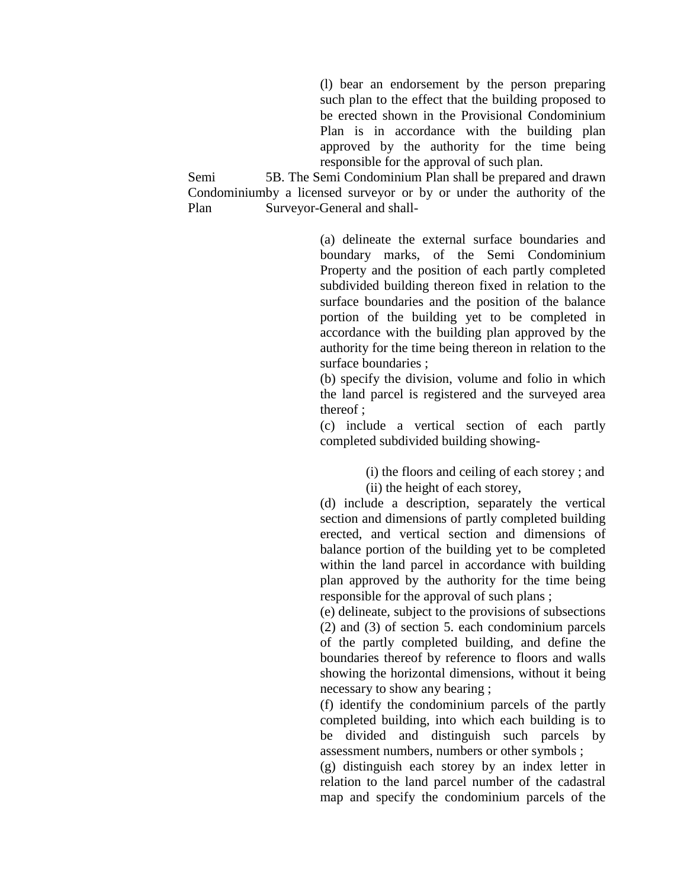(l) bear an endorsement by the person preparing such plan to the effect that the building proposed to be erected shown in the Provisional Condominium Plan is in accordance with the building plan approved by the authority for the time being responsible for the approval of such plan.

Semi Condominiumby a licensed surveyor or by or under the authority of the Plan 5B. The Semi Condominium Plan shall be prepared and drawn Surveyor-General and shall-

> (a) delineate the external surface boundaries and boundary marks, of the Semi Condominium Property and the position of each partly completed subdivided building thereon fixed in relation to the surface boundaries and the position of the balance portion of the building yet to be completed in accordance with the building plan approved by the authority for the time being thereon in relation to the surface boundaries ;

> (b) specify the division, volume and folio in which the land parcel is registered and the surveyed area thereof ;

> (c) include a vertical section of each partly completed subdivided building showing-

> > (i) the floors and ceiling of each storey ; and (ii) the height of each storey,

(d) include a description, separately the vertical section and dimensions of partly completed building erected, and vertical section and dimensions of balance portion of the building yet to be completed within the land parcel in accordance with building plan approved by the authority for the time being responsible for the approval of such plans ;

(e) delineate, subject to the provisions of subsections (2) and (3) of section 5. each condominium parcels of the partly completed building, and define the boundaries thereof by reference to floors and walls showing the horizontal dimensions, without it being necessary to show any bearing ;

(f) identify the condominium parcels of the partly completed building, into which each building is to be divided and distinguish such parcels by assessment numbers, numbers or other symbols ;

(g) distinguish each storey by an index letter in relation to the land parcel number of the cadastral map and specify the condominium parcels of the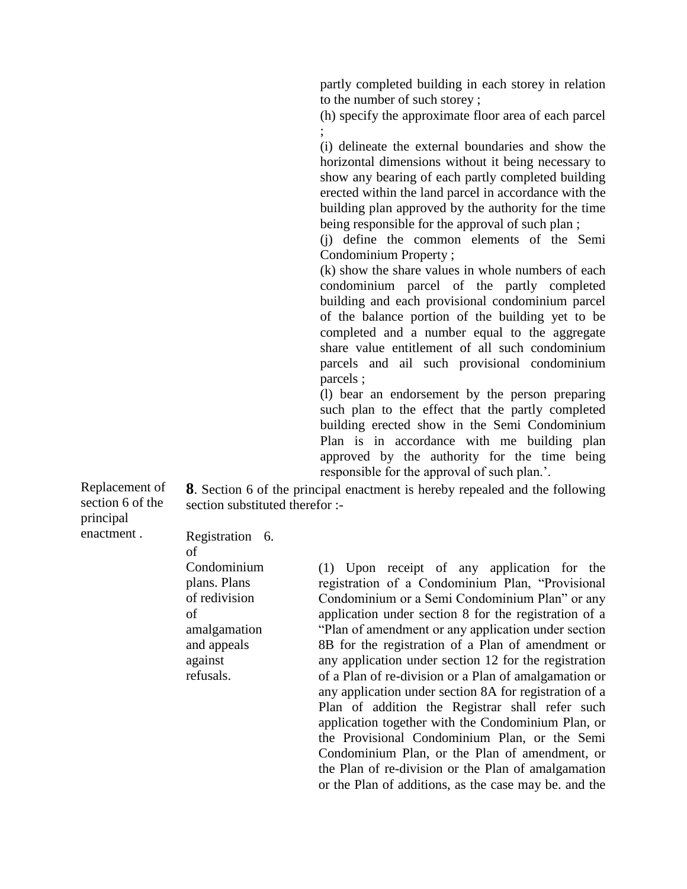partly completed building in each storey in relation to the number of such storey ;

(h) specify the approximate floor area of each parcel ;

(i) delineate the external boundaries and show the horizontal dimensions without it being necessary to show any bearing of each partly completed building erected within the land parcel in accordance with the building plan approved by the authority for the time being responsible for the approval of such plan ;

(j) define the common elements of the Semi Condominium Property ;

(k) show the share values in whole numbers of each condominium parcel of the partly completed building and each provisional condominium parcel of the balance portion of the building yet to be completed and a number equal to the aggregate share value entitlement of all such condominium parcels and ail such provisional condominium parcels ;

(l) bear an endorsement by the person preparing such plan to the effect that the partly completed building erected show in the Semi Condominium Plan is in accordance with me building plan approved by the authority for the time being responsible for the approval of such plan.'.

Replacement of section 6 of the principal enactment .

**8**. Section 6 of the principal enactment is hereby repealed and the following section substituted therefor :-

Registration 6. of Condominium plans. Plans of redivision of amalgamation and appeals against refusals.

(1) Upon receipt of any application for the registration of a Condominium Plan, "Provisional Condominium or a Semi Condominium Plan" or any application under section 8 for the registration of a "Plan of amendment or any application under section 8B for the registration of a Plan of amendment or any application under section 12 for the registration of a Plan of re-division or a Plan of amalgamation or any application under section 8A for registration of a Plan of addition the Registrar shall refer such application together with the Condominium Plan, or the Provisional Condominium Plan, or the Semi Condominium Plan, or the Plan of amendment, or the Plan of re-division or the Plan of amalgamation or the Plan of additions, as the case may be. and the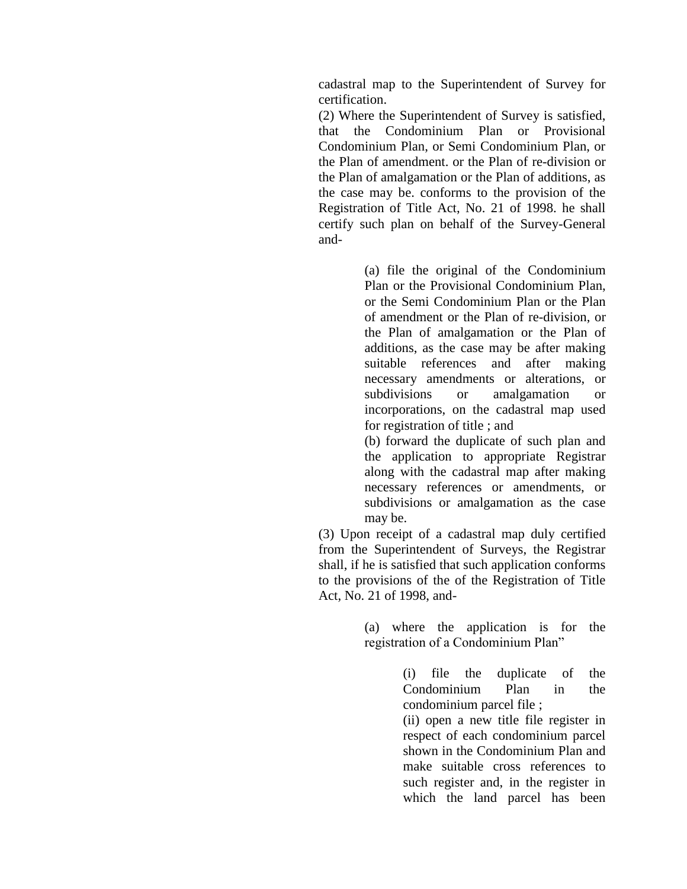cadastral map to the Superintendent of Survey for certification.

(2) Where the Superintendent of Survey is satisfied, that the Condominium Plan or Provisional Condominium Plan, or Semi Condominium Plan, or the Plan of amendment. or the Plan of re-division or the Plan of amalgamation or the Plan of additions, as the case may be. conforms to the provision of the Registration of Title Act, No. 21 of 1998. he shall certify such plan on behalf of the Survey-General and-

> (a) file the original of the Condominium Plan or the Provisional Condominium Plan, or the Semi Condominium Plan or the Plan of amendment or the Plan of re-division, or the Plan of amalgamation or the Plan of additions, as the case may be after making suitable references and after making necessary amendments or alterations, or subdivisions or amalgamation or incorporations, on the cadastral map used for registration of title ; and

> (b) forward the duplicate of such plan and the application to appropriate Registrar along with the cadastral map after making necessary references or amendments, or subdivisions or amalgamation as the case may be.

(3) Upon receipt of a cadastral map duly certified from the Superintendent of Surveys, the Registrar shall, if he is satisfied that such application conforms to the provisions of the of the Registration of Title Act, No. 21 of 1998, and-

> (a) where the application is for the registration of a Condominium Plan"

> > (i) file the duplicate of the Condominium Plan in the condominium parcel file ;

> > (ii) open a new title file register in respect of each condominium parcel shown in the Condominium Plan and make suitable cross references to such register and, in the register in which the land parcel has been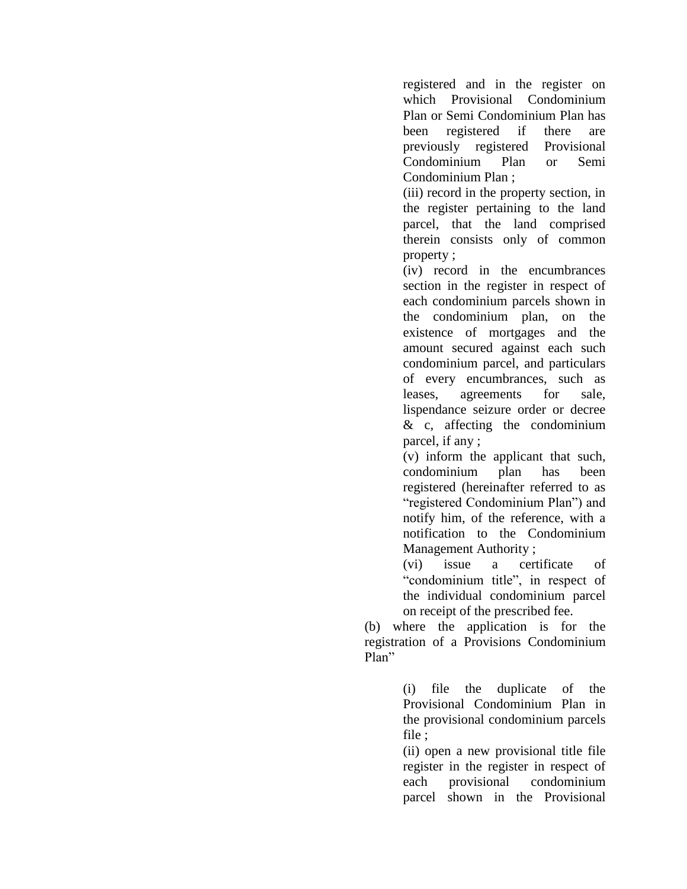registered and in the register on which Provisional Condominium Plan or Semi Condominium Plan has been registered if there are previously registered Provisional Condominium Plan or Semi Condominium Plan ;

(iii) record in the property section, in the register pertaining to the land parcel, that the land comprised therein consists only of common property ;

(iv) record in the encumbrances section in the register in respect of each condominium parcels shown in the condominium plan, on the existence of mortgages and the amount secured against each such condominium parcel, and particulars of every encumbrances, such as leases, agreements for sale, lispendance seizure order or decree & c, affecting the condominium parcel, if any ;

(v) inform the applicant that such, condominium plan has been registered (hereinafter referred to as "registered Condominium Plan") and notify him, of the reference, with a notification to the Condominium Management Authority ;

(vi) issue a certificate of "condominium title", in respect of the individual condominium parcel on receipt of the prescribed fee.

(b) where the application is for the registration of a Provisions Condominium Plan"

> (i) file the duplicate of the Provisional Condominium Plan in the provisional condominium parcels file ;

> (ii) open a new provisional title file register in the register in respect of each provisional condominium parcel shown in the Provisional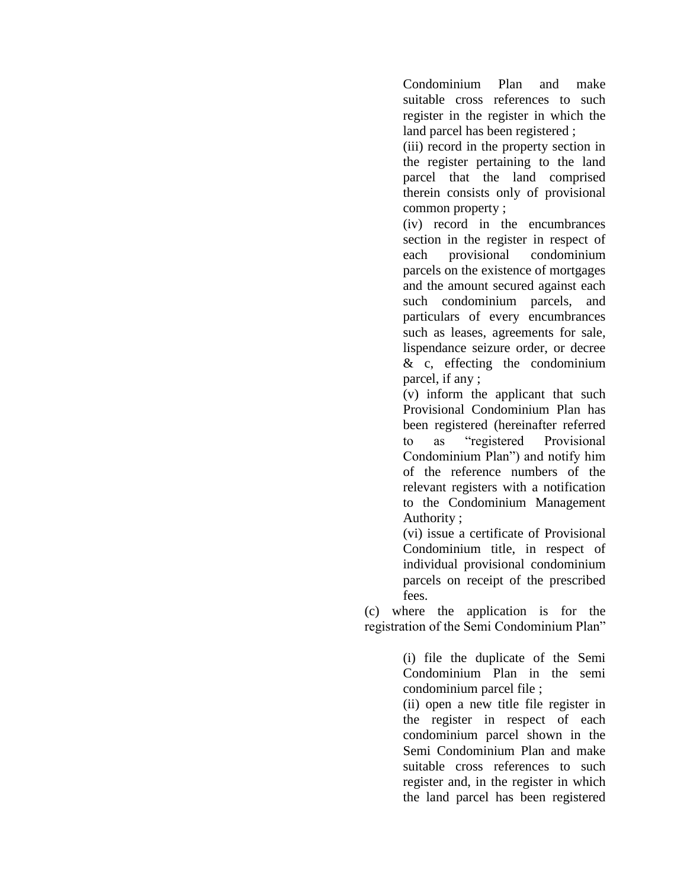Condominium Plan and make suitable cross references to such register in the register in which the land parcel has been registered ;

(iii) record in the property section in the register pertaining to the land parcel that the land comprised therein consists only of provisional common property ;

(iv) record in the encumbrances section in the register in respect of each provisional condominium parcels on the existence of mortgages and the amount secured against each such condominium parcels, and particulars of every encumbrances such as leases, agreements for sale, lispendance seizure order, or decree & c, effecting the condominium parcel, if any ;

(v) inform the applicant that such Provisional Condominium Plan has been registered (hereinafter referred to as "registered Provisional Condominium Plan") and notify him of the reference numbers of the relevant registers with a notification to the Condominium Management Authority ;

(vi) issue a certificate of Provisional Condominium title, in respect of individual provisional condominium parcels on receipt of the prescribed fees.

(c) where the application is for the registration of the Semi Condominium Plan"

> (i) file the duplicate of the Semi Condominium Plan in the semi condominium parcel file ;

(ii) open a new title file register in the register in respect of each condominium parcel shown in the Semi Condominium Plan and make suitable cross references to such register and, in the register in which the land parcel has been registered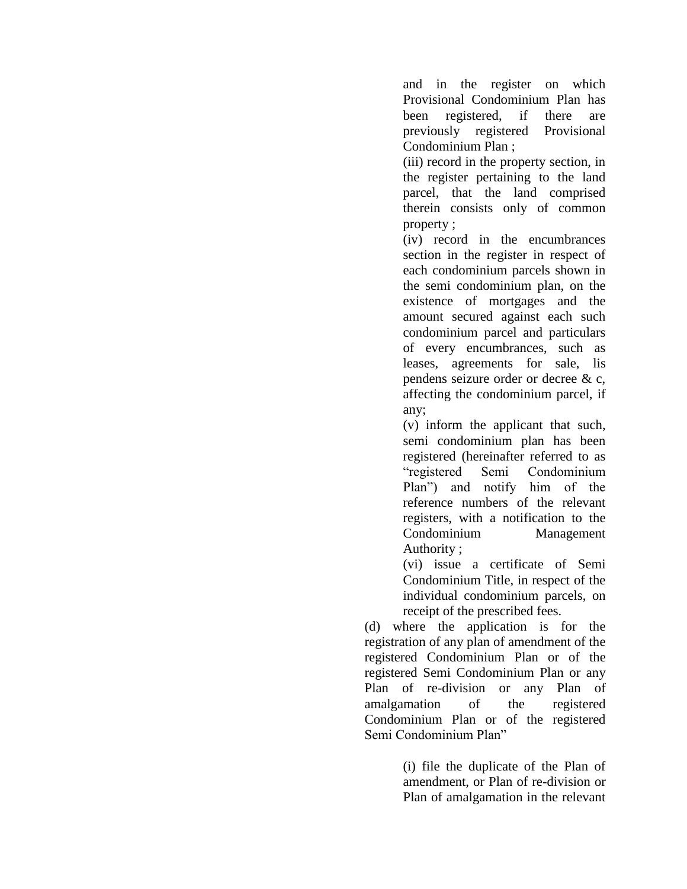and in the register on which Provisional Condominium Plan has been registered, if there are previously registered Provisional Condominium Plan ;

(iii) record in the property section, in the register pertaining to the land parcel, that the land comprised therein consists only of common property ;

(iv) record in the encumbrances section in the register in respect of each condominium parcels shown in the semi condominium plan, on the existence of mortgages and the amount secured against each such condominium parcel and particulars of every encumbrances, such as leases, agreements for sale, lis pendens seizure order or decree & c, affecting the condominium parcel, if any;

(v) inform the applicant that such, semi condominium plan has been registered (hereinafter referred to as "registered Semi Condominium Plan") and notify him of the reference numbers of the relevant registers, with a notification to the Condominium Management Authority ;

(vi) issue a certificate of Semi Condominium Title, in respect of the individual condominium parcels, on receipt of the prescribed fees.

(d) where the application is for the registration of any plan of amendment of the registered Condominium Plan or of the registered Semi Condominium Plan or any Plan of re-division or any Plan of amalgamation of the registered Condominium Plan or of the registered Semi Condominium Plan"

> (i) file the duplicate of the Plan of amendment, or Plan of re-division or Plan of amalgamation in the relevant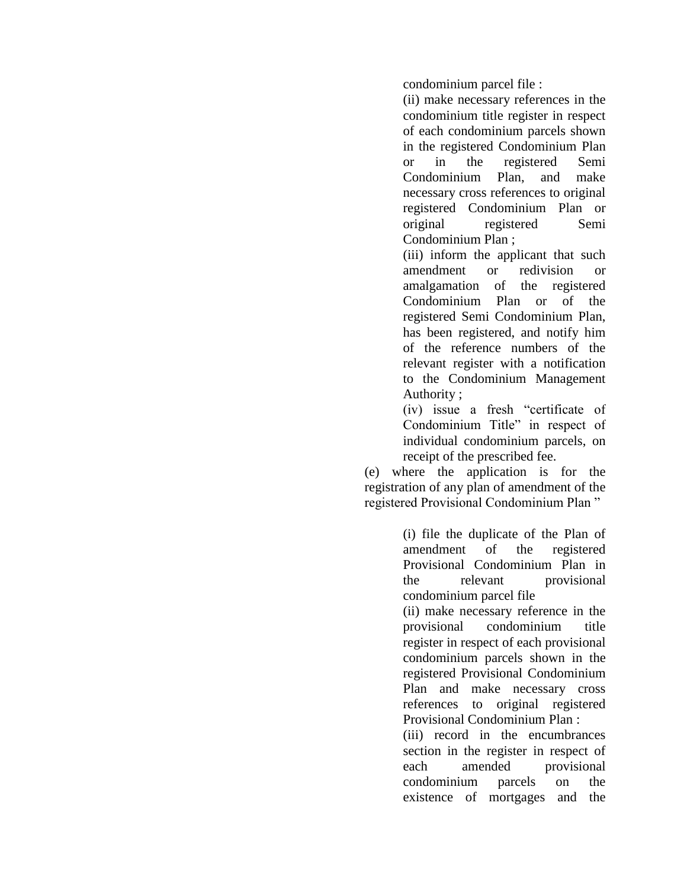condominium parcel file :

(ii) make necessary references in the condominium title register in respect of each condominium parcels shown in the registered Condominium Plan or in the registered Semi Condominium Plan, and make necessary cross references to original registered Condominium Plan or original registered Semi Condominium Plan ;

(iii) inform the applicant that such amendment or redivision or amalgamation of the registered Condominium Plan or of the registered Semi Condominium Plan, has been registered, and notify him of the reference numbers of the relevant register with a notification to the Condominium Management Authority ;

(iv) issue a fresh "certificate of Condominium Title" in respect of individual condominium parcels, on receipt of the prescribed fee.

(e) where the application is for the registration of any plan of amendment of the registered Provisional Condominium Plan "

> (i) file the duplicate of the Plan of amendment of the registered Provisional Condominium Plan in the relevant provisional condominium parcel file

> (ii) make necessary reference in the provisional condominium title register in respect of each provisional condominium parcels shown in the registered Provisional Condominium Plan and make necessary cross references to original registered Provisional Condominium Plan :

> (iii) record in the encumbrances section in the register in respect of each amended provisional condominium parcels on the existence of mortgages and the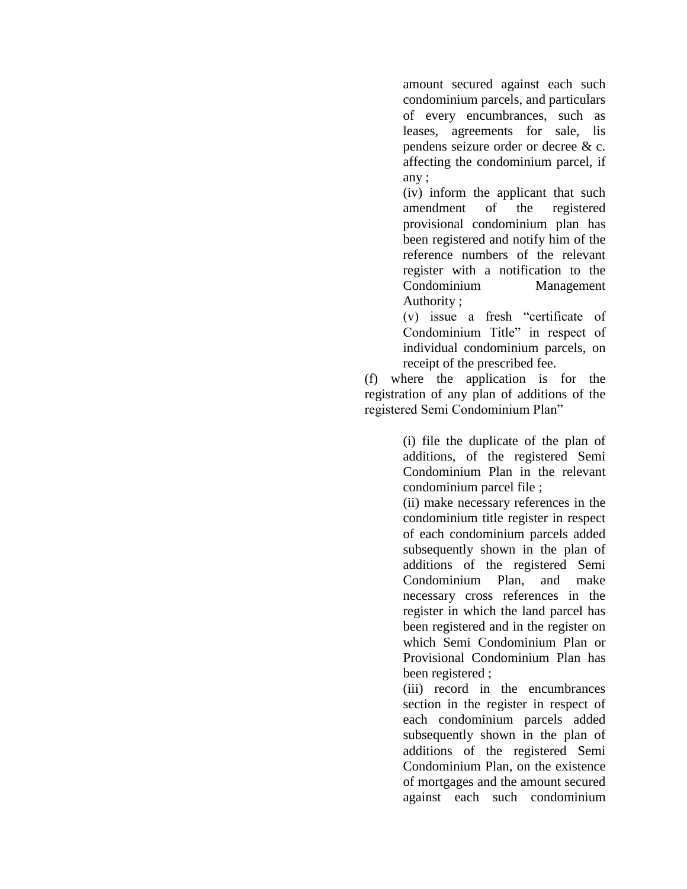amount secured against each such condominium parcels, and particulars of every encumbrances, such as leases, agreements for sale, lis pendens seizure order or decree & c. affecting the condominium parcel, if any ;

(iv) inform the applicant that such amendment of the registered provisional condominium plan has been registered and notify him of the reference numbers of the relevant register with a notification to the Condominium Management Authority ;

(v) issue a fresh "certificate of Condominium Title" in respect of individual condominium parcels, on receipt of the prescribed fee.

(f) where the application is for the registration of any plan of additions of the registered Semi Condominium Plan"

> (i) file the duplicate of the plan of additions, of the registered Semi Condominium Plan in the relevant condominium parcel file ;

> (ii) make necessary references in the condominium title register in respect of each condominium parcels added subsequently shown in the plan of additions of the registered Semi Condominium Plan, and make necessary cross references in the register in which the land parcel has been registered and in the register on which Semi Condominium Plan or Provisional Condominium Plan has been registered ;

> (iii) record in the encumbrances section in the register in respect of each condominium parcels added subsequently shown in the plan of additions of the registered Semi Condominium Plan, on the existence of mortgages and the amount secured against each such condominium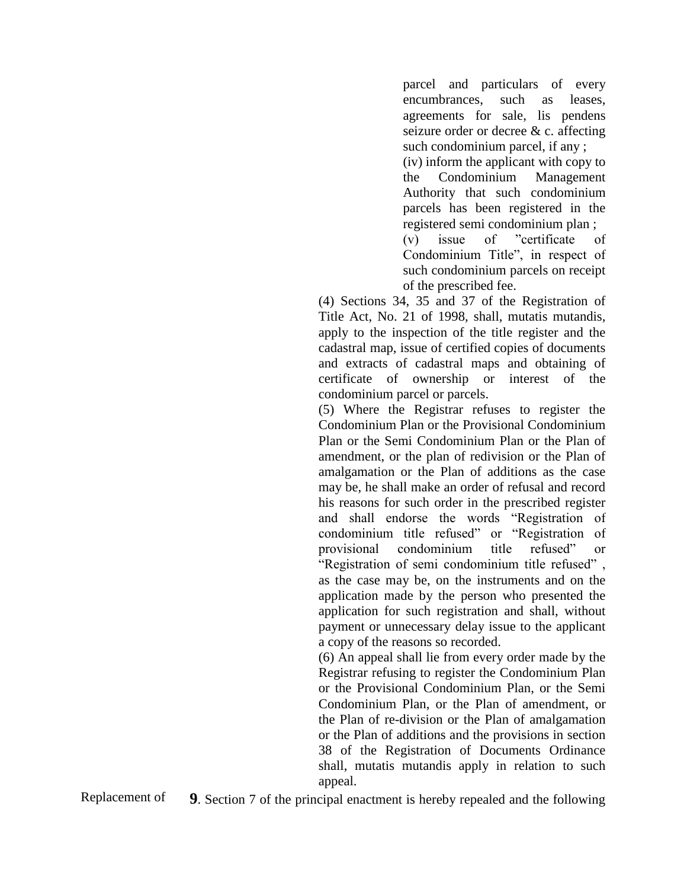parcel and particulars of every encumbrances, such as leases, agreements for sale, lis pendens seizure order or decree & c. affecting such condominium parcel, if any ;

(iv) inform the applicant with copy to the Condominium Management Authority that such condominium parcels has been registered in the registered semi condominium plan ;

(v) issue of "certificate of Condominium Title", in respect of such condominium parcels on receipt of the prescribed fee.

(4) Sections 34, 35 and 37 of the Registration of Title Act, No. 21 of 1998, shall, mutatis mutandis, apply to the inspection of the title register and the cadastral map, issue of certified copies of documents and extracts of cadastral maps and obtaining of certificate of ownership or interest of the condominium parcel or parcels.

(5) Where the Registrar refuses to register the Condominium Plan or the Provisional Condominium Plan or the Semi Condominium Plan or the Plan of amendment, or the plan of redivision or the Plan of amalgamation or the Plan of additions as the case may be, he shall make an order of refusal and record his reasons for such order in the prescribed register and shall endorse the words "Registration of condominium title refused" or "Registration of provisional condominium title refused" or "Registration of semi condominium title refused" , as the case may be, on the instruments and on the application made by the person who presented the application for such registration and shall, without payment or unnecessary delay issue to the applicant a copy of the reasons so recorded.

(6) An appeal shall lie from every order made by the Registrar refusing to register the Condominium Plan or the Provisional Condominium Plan, or the Semi Condominium Plan, or the Plan of amendment, or the Plan of re-division or the Plan of amalgamation or the Plan of additions and the provisions in section 38 of the Registration of Documents Ordinance shall, mutatis mutandis apply in relation to such appeal.

Replacement of **9**. Section 7 of the principal enactment is hereby repealed and the following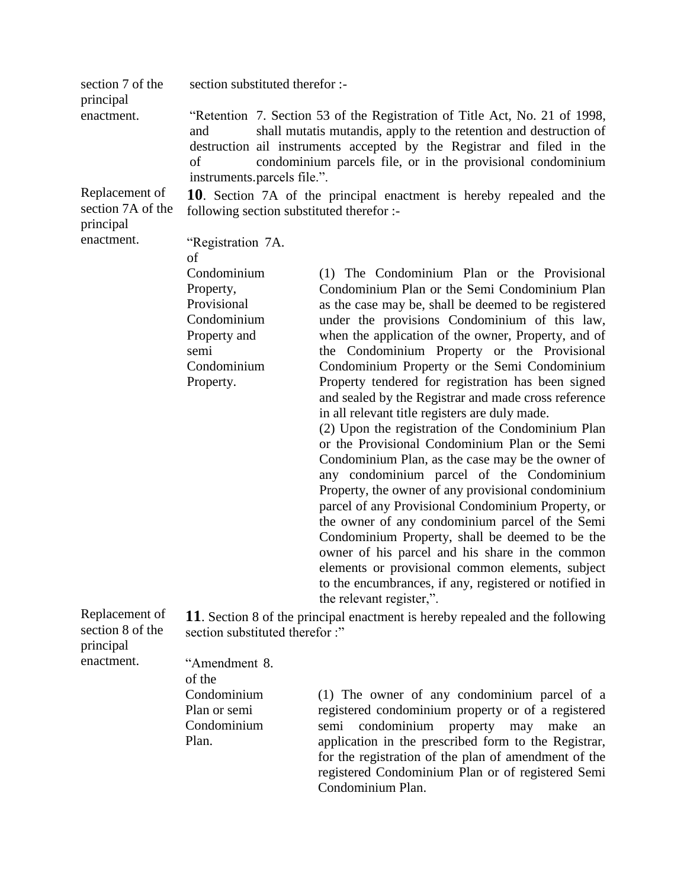| section 7 of the                                              | section substituted therefor :-                                                                                                                                                                                                                                                                                                      |                                                                                                                                                                                                                                                                                                                                                                                                                                                                                                                                                                                                                                                                                                                                                                                                                                                                                                                                                                                                                                                                                                                          |  |
|---------------------------------------------------------------|--------------------------------------------------------------------------------------------------------------------------------------------------------------------------------------------------------------------------------------------------------------------------------------------------------------------------------------|--------------------------------------------------------------------------------------------------------------------------------------------------------------------------------------------------------------------------------------------------------------------------------------------------------------------------------------------------------------------------------------------------------------------------------------------------------------------------------------------------------------------------------------------------------------------------------------------------------------------------------------------------------------------------------------------------------------------------------------------------------------------------------------------------------------------------------------------------------------------------------------------------------------------------------------------------------------------------------------------------------------------------------------------------------------------------------------------------------------------------|--|
| principal<br>enactment.                                       | "Retention 7. Section 53 of the Registration of Title Act, No. 21 of 1998,<br>shall mutatis mutandis, apply to the retention and destruction of<br>and<br>destruction ail instruments accepted by the Registrar and filed in the<br>condominium parcels file, or in the provisional condominium<br>οf<br>instruments.parcels file.". |                                                                                                                                                                                                                                                                                                                                                                                                                                                                                                                                                                                                                                                                                                                                                                                                                                                                                                                                                                                                                                                                                                                          |  |
| Replacement of<br>section 7A of the<br>principal              | 10. Section 7A of the principal enactment is hereby repealed and the<br>following section substituted therefor :-                                                                                                                                                                                                                    |                                                                                                                                                                                                                                                                                                                                                                                                                                                                                                                                                                                                                                                                                                                                                                                                                                                                                                                                                                                                                                                                                                                          |  |
| enactment.                                                    | "Registration 7A.                                                                                                                                                                                                                                                                                                                    |                                                                                                                                                                                                                                                                                                                                                                                                                                                                                                                                                                                                                                                                                                                                                                                                                                                                                                                                                                                                                                                                                                                          |  |
|                                                               | of<br>Condominium<br>Property,<br>Provisional<br>Condominium<br>Property and<br>semi<br>Condominium<br>Property.                                                                                                                                                                                                                     | (1) The Condominium Plan or the Provisional<br>Condominium Plan or the Semi Condominium Plan<br>as the case may be, shall be deemed to be registered<br>under the provisions Condominium of this law,<br>when the application of the owner, Property, and of<br>the Condominium Property or the Provisional<br>Condominium Property or the Semi Condominium<br>Property tendered for registration has been signed<br>and sealed by the Registrar and made cross reference<br>in all relevant title registers are duly made.<br>(2) Upon the registration of the Condominium Plan<br>or the Provisional Condominium Plan or the Semi<br>Condominium Plan, as the case may be the owner of<br>any condominium parcel of the Condominium<br>Property, the owner of any provisional condominium<br>parcel of any Provisional Condominium Property, or<br>the owner of any condominium parcel of the Semi<br>Condominium Property, shall be deemed to be the<br>owner of his parcel and his share in the common<br>elements or provisional common elements, subject<br>to the encumbrances, if any, registered or notified in |  |
| Replacement of<br>section 8 of the<br>principal<br>enactment. | the relevant register,".<br>11. Section 8 of the principal enactment is hereby repealed and the following<br>section substituted therefor :"                                                                                                                                                                                         |                                                                                                                                                                                                                                                                                                                                                                                                                                                                                                                                                                                                                                                                                                                                                                                                                                                                                                                                                                                                                                                                                                                          |  |
|                                                               | "Amendment 8.<br>of the<br>Condominium<br>Plan or semi<br>Condominium<br>Plan.                                                                                                                                                                                                                                                       | (1) The owner of any condominium parcel of a<br>registered condominium property or of a registered<br>condominium<br>semi<br>property<br>make<br>may<br>an<br>application in the prescribed form to the Registrar,<br>for the registration of the plan of amendment of the                                                                                                                                                                                                                                                                                                                                                                                                                                                                                                                                                                                                                                                                                                                                                                                                                                               |  |

registered Condominium Plan or of registered Semi

Condominium Plan.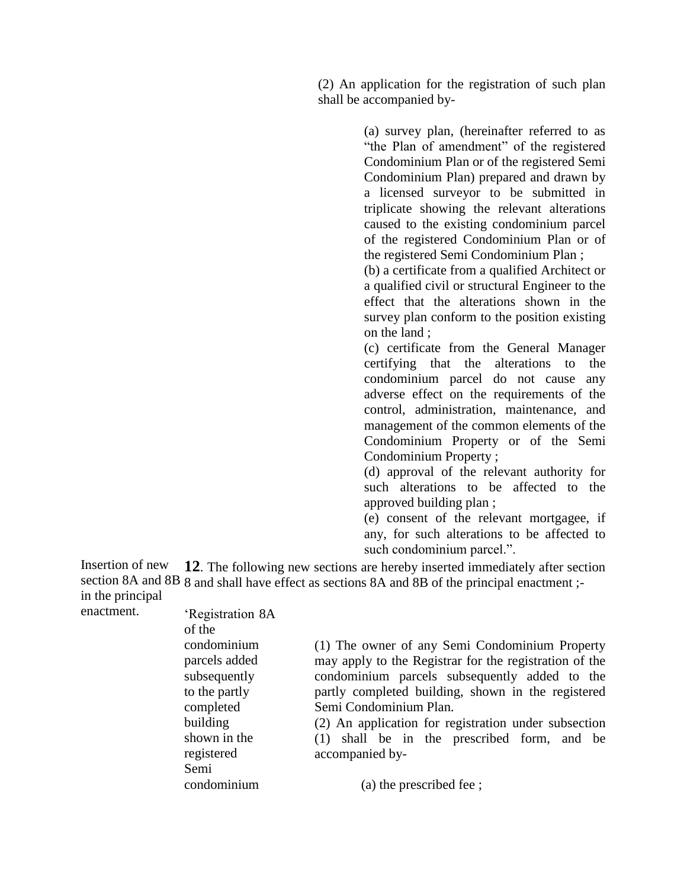(2) An application for the registration of such plan shall be accompanied by-

> (a) survey plan, (hereinafter referred to as "the Plan of amendment" of the registered Condominium Plan or of the registered Semi Condominium Plan) prepared and drawn by a licensed surveyor to be submitted in triplicate showing the relevant alterations caused to the existing condominium parcel of the registered Condominium Plan or of the registered Semi Condominium Plan ;

> (b) a certificate from a qualified Architect or a qualified civil or structural Engineer to the effect that the alterations shown in the survey plan conform to the position existing on the land ;

> (c) certificate from the General Manager certifying that the alterations to the condominium parcel do not cause any adverse effect on the requirements of the control, administration, maintenance, and management of the common elements of the Condominium Property or of the Semi Condominium Property ;

> (d) approval of the relevant authority for such alterations to be affected to the approved building plan ;

> (e) consent of the relevant mortgagee, if any, for such alterations to be affected to such condominium parcel.".

Insertion of new section 8A and 8B 8 and shall have effect as sections 8A and 8B of the principal enactment ;in the principal **12**. The following new sections are hereby inserted immediately after section

enactment.

'Registration 8A of the condominium parcels added subsequently to the partly completed building shown in the registered Semi condominium

(1) The owner of any Semi Condominium Property may apply to the Registrar for the registration of the condominium parcels subsequently added to the partly completed building, shown in the registered Semi Condominium Plan.

(2) An application for registration under subsection (1) shall be in the prescribed form, and be accompanied by-

(a) the prescribed fee ;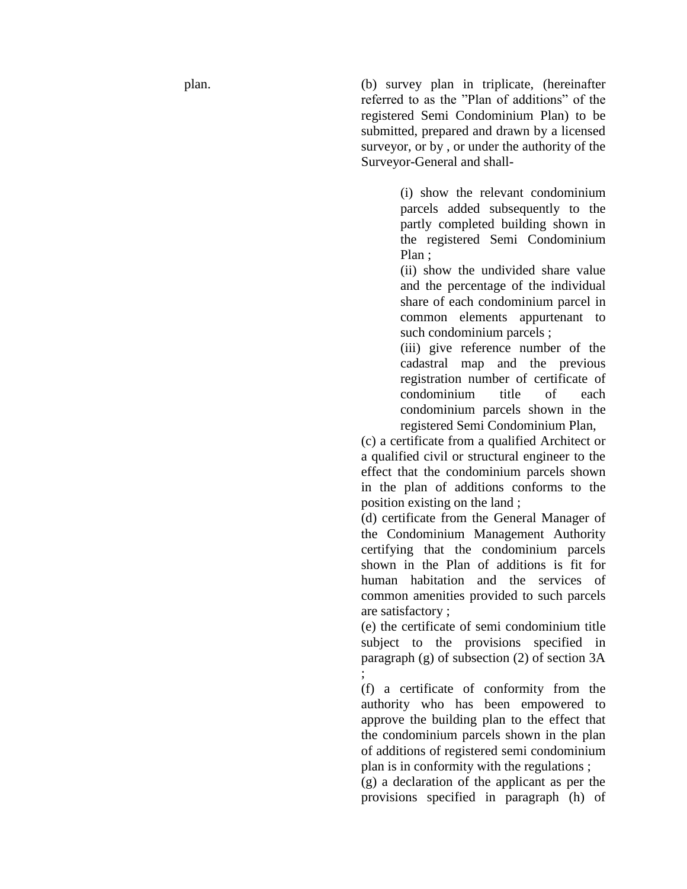plan. (b) survey plan in triplicate, (hereinafter referred to as the "Plan of additions" of the registered Semi Condominium Plan) to be submitted, prepared and drawn by a licensed surveyor, or by , or under the authority of the Surveyor -General and shall -

> (i) show the relevant condominium parcels added subsequently to the partly completed building shown in the registered Semi Condominium Plan ;

> (ii) show the undivided share value and the percentage of the individual share of each condominium parcel in common elements appurtenant to such condominium parcels ;

> (iii) give reference number of the cadastral map and the previous registration number of certificate of condominium title of each condominium parcels shown in the registered Semi Condominium Plan,

(c) a certificate from a qualified Architect or a qualified civil or structural engineer to the effect that the condominium parcels shown in the plan of additions conforms to the position existing on the land ;

(d) certificate from the General Manager of the Condominium Management Authority certifying that the condominium parcels shown in the Plan of additions is fit for human habitation and the services of common amenities provided to such parcels are satisfactory ;

(e) the certificate of semi condominium title subject to the provisions specified in paragraph (g) of subsection (2) of section 3A ;

(f) a certificate of conformity from the authority who has been empowered to approve the building plan to the effect that the condominium parcels shown in the plan of additions of registered semi condominium plan is in conformity with the regulations ;

(g) a declaration of the applicant as per the provisions specified in paragraph (h) of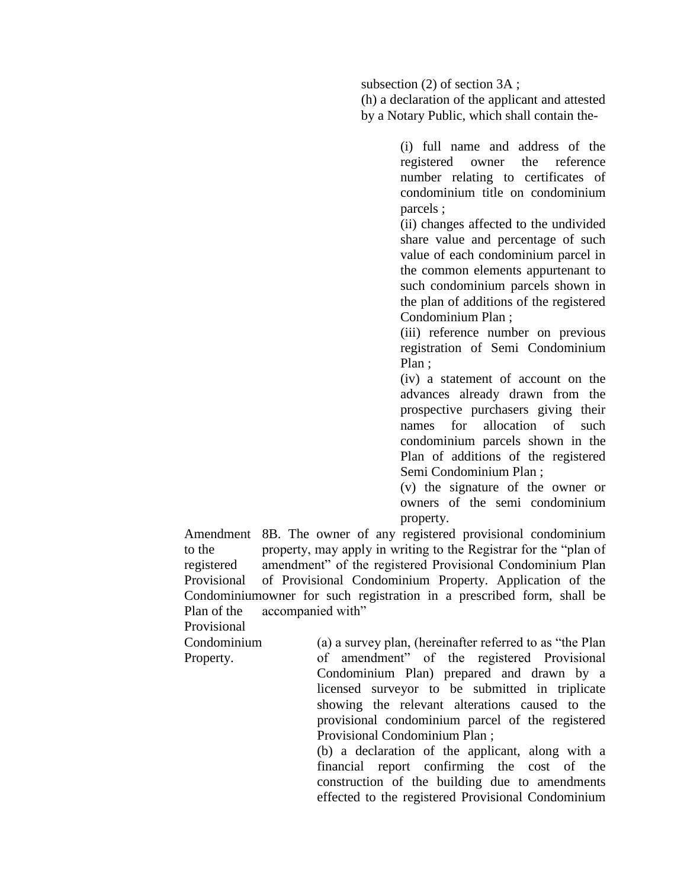subsection (2) of section 3A ;

(h) a declaration of the applicant and attested by a Notary Public, which shall contain the-

> (i) full name and address of the registered owner the reference number relating to certificates of condominium title on condominium parcels ;

> (ii) changes affected to the undivided share value and percentage of such value of each condominium parcel in the common elements appurtenant to such condominium parcels shown in the plan of additions of the registered Condominium Plan ;

> (iii) reference number on previous registration of Semi Condominium Plan ;

> (iv) a statement of account on the advances already drawn from the prospective purchasers giving their names for allocation of such condominium parcels shown in the Plan of additions of the registered Semi Condominium Plan ;

> (v) the signature of the owner or owners of the semi condominium property.

Amendment 8B. The owner of any registered provisional condominium to the registered Provisional Condominium owner for such registration in a prescribed form, shall be Plan of the property, may apply in writing to the Registrar for the "plan of amendment" of the registered Provisional Condominium Plan of Provisional Condominium Property. Application of the accompanied with"

Provisional

Condominium

Property.

(a) a survey plan, (hereinafter referred to as "the Plan of amendment" of the registered Provisional Condominium Plan) prepared and drawn by a licensed surveyor to be submitted in triplicate showing the relevant alterations caused to the provisional condominium parcel of the registered Provisional Condominium Plan ;

(b) a declaration of the applicant, along with a financial report confirming the cost of the construction of the building due to amendments effected to the registered Provisional Condominium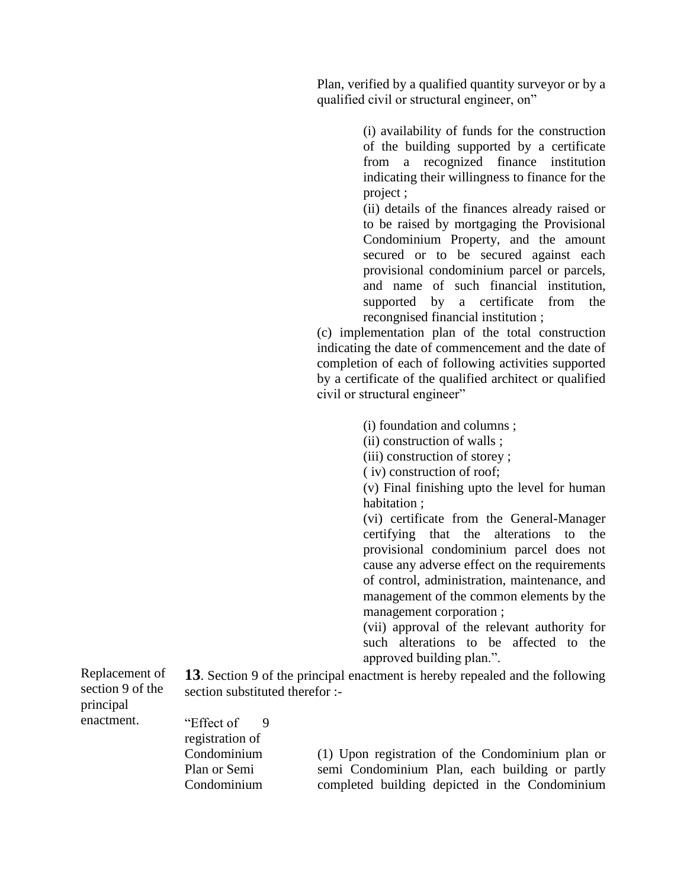Plan, verified by a qualified quantity surveyor or by a qualified civil or structural engineer, on"

> (i) availability of funds for the construction of the building supported by a certificate from a recognized finance institution indicating their willingness to finance for the project ;

> (ii) details of the finances already raised or to be raised by mortgaging the Provisional Condominium Property, and the amount secured or to be secured against each provisional condominium parcel or parcels, and name of such financial institution, supported by a certificate from the recongnised financial institution ;

(c) implementation plan of the total construction indicating the date of commencement and the date of completion of each of following activities supported by a certificate of the qualified architect or qualified civil or structural engineer"

(i) foundation and columns ;

(ii) construction of walls ;

(iii) construction of storey ;

( iv) construction of roof;

(v) Final finishing upto the level for human habitation ;

(vi) certificate from the General-Manager certifying that the alterations to the provisional condominium parcel does not cause any adverse effect on the requirements of control, administration, maintenance, and management of the common elements by the management corporation ;

(vii) approval of the relevant authority for such alterations to be affected to the approved building plan.".

Replacement of section 9 of the principal enactment.

**13**. Section 9 of the principal enactment is hereby repealed and the following section substituted therefor :-

"Effect of registration of Condominium Plan or Semi Condominium 9

(1) Upon registration of the Condominium plan or semi Condominium Plan, each building or partly completed building depicted in the Condominium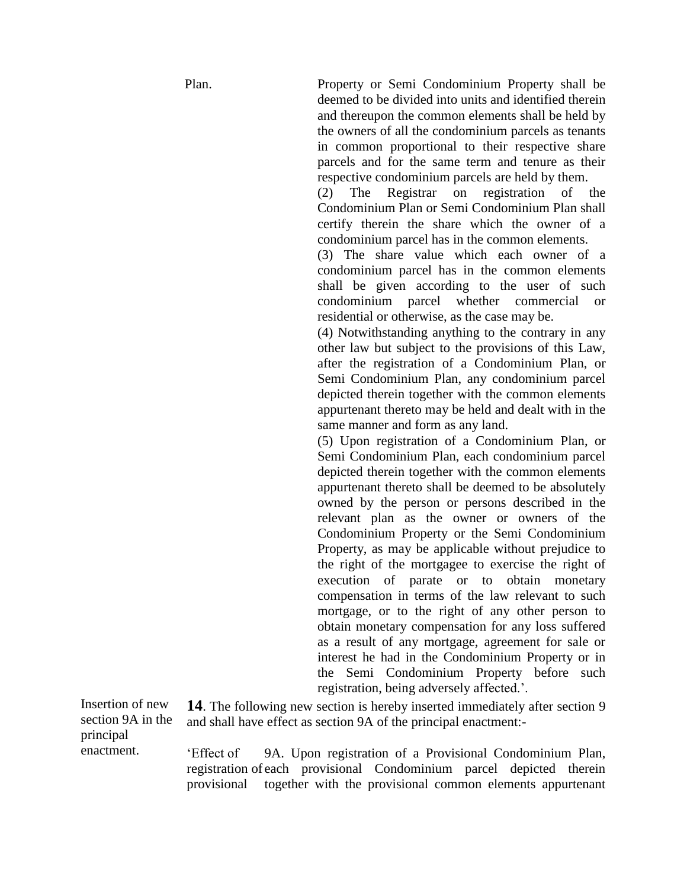Plan. Property or Semi Condominium Property shall be deemed to be divided into units and identified therein and thereupon the common elements shall be held by the owners of all the condominium parcels as tenants in common proportional to their respective share parcels and for the same term and tenure as their respective condominium parcels are held by them.

> (2) The Registrar on registration of the Condominium Plan or Semi Condominium Plan shall certify therein the share which the owner of a condominium parcel has in the common elements.

> (3) The share value which each owner of a condominium parcel has in the common elements shall be given according to the user of such condominium parcel whether commercial or residential or otherwise, as the case may be.

> (4) Notwithstanding anything to the contrary in any other law but subject to the provisions of this Law, after the registration of a Condominium Plan, or Semi Condominium Plan, any condominium parcel depicted therein together with the common elements appurtenant thereto may be held and dealt with in the same manner and form as any land.

> (5) Upon registration of a Condominium Plan, or Semi Condominium Plan, each condominium parcel depicted therein together with the common elements appurtenant thereto shall be deemed to be absolutely owned by the person or persons described in the relevant plan as the owner or owners of the Condominium Property or the Semi Condominium Property, as may be applicable without prejudice to the right of the mortgagee to exercise the right of execution of parate or to obtain monetary compensation in terms of the law relevant to such mortgage, or to the right of any other person to obtain monetary compensation for any loss suffered as a result of any mortgage, agreement for sale or interest he had in the Condominium Property or in the Semi Condominium Property before such registration, being adversely affected.'.

Insertion of new section 9A in the principal enactment.

**14**. The following new section is hereby inserted immediately after section 9 and shall have effect as section 9A of the principal enactment:-

'Effect of registration of each provisional Condominium parcel depicted therein provisional 9A. Upon registration of a Provisional Condominium Plan, together with the provisional common elements appurtenant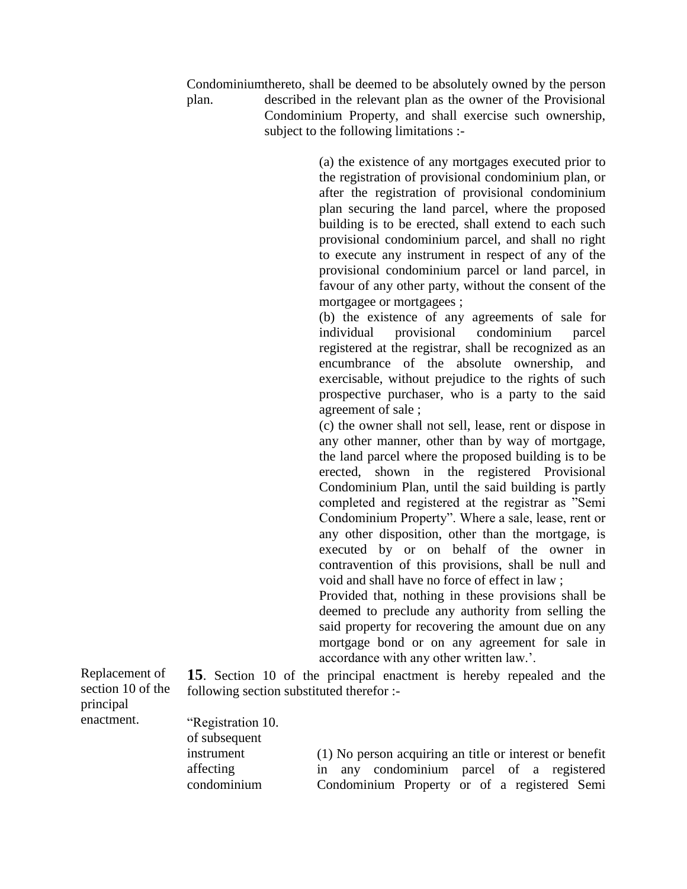Condominium thereto, shall be deemed to be absolutely owned by the person plan. described in the relevant plan as the owner of the Provisional Condominium Property, and shall exercise such ownership, subject to the following limitations :-

> (a) the existence of any mortgages executed prior to the registration of provisional condominium plan, or after the registration of provisional condominium plan securing the land parcel, where the proposed building is to be erected, shall extend to each such provisional condominium parcel, and shall no right to execute any instrument in respect of any of the provisional condominium parcel or land parcel, in favour of any other party, without the consent of the mortgagee or mortgagees ;

> (b) the existence of any agreements of sale for individual provisional condominium parcel registered at the registrar, shall be recognized as an encumbrance of the absolute ownership, and exercisable, without prejudice to the rights of such prospective purchaser, who is a party to the said agreement of sale ;

> (c) the owner shall not sell, lease, rent or dispose in any other manner, other than by way of mortgage, the land parcel where the proposed building is to be erected, shown in the registered Provisional Condominium Plan, until the said building is partly completed and registered at the registrar as "Semi Condominium Property". Where a sale, lease, rent or any other disposition, other than the mortgage, is executed by or on behalf of the owner in contravention of this provisions, shall be null and void and shall have no force of effect in law ;

> Provided that, nothing in these provisions shall be deemed to preclude any authority from selling the said property for recovering the amount due on any mortgage bond or on any agreement for sale in accordance with any other written law.'.

Replacement of section 10 of the principal enactment.

**15**. Section 10 of the principal enactment is hereby repealed and the following section substituted therefor :-

| "Registration 10. |                                                         |
|-------------------|---------------------------------------------------------|
| of subsequent     |                                                         |
| instrument        | (1) No person acquiring an title or interest or benefit |
| affecting         | in any condominium parcel of a registered               |
| condominium       | Condominium Property or of a registered Semi            |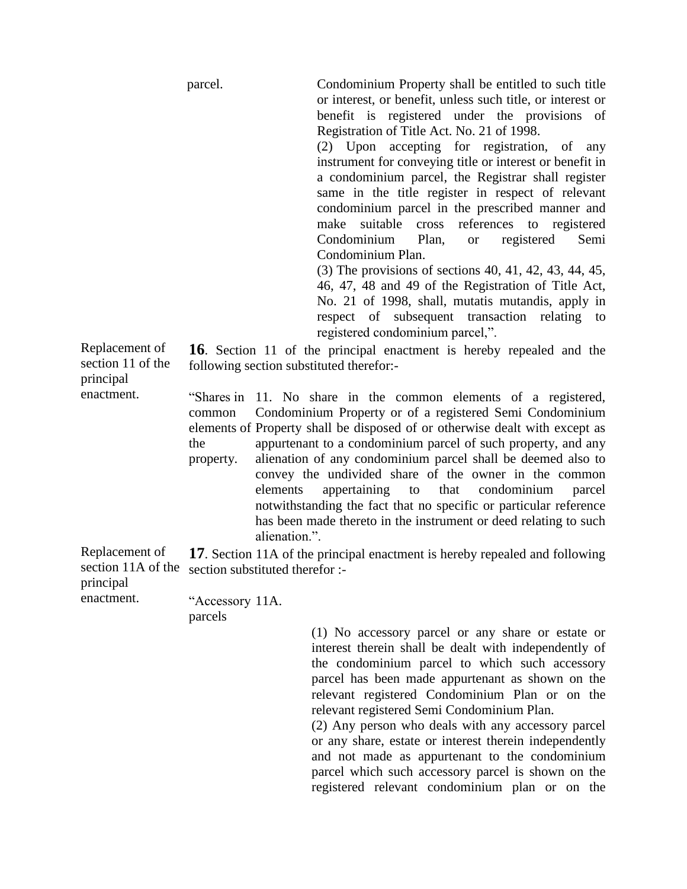parcel. Condominium Property shall be entitled to such title or interest, or benefit, unless such title, or interest or benefit is registered under the provisions of Registration of Title Act. No. 21 of 1998.

> (2) Upon accepting for registration, of any instrument for conveying title or interest or benefit in a condominium parcel, the Registrar shall register same in the title register in respect of relevant condominium parcel in the prescribed manner and make suitable cross references to registered Condominium Plan, or registered Semi Condominium Plan.

> (3) The provisions of sections 40, 41, 42, 43, 44, 45, 46, 47, 48 and 49 of the Registration of Title Act, No. 21 of 1998, shall, mutatis mutandis, apply in respect of subsequent transaction relating to registered condominium parcel,".

Replacement of section 11 of the principal enactment.

**16**. Section 11 of the principal enactment is hereby repealed and the following section substituted therefor:-

"Shares in 11. No share in the common elements of a registered, common elements of Property shall be disposed of or otherwise dealt with except as the property. Condominium Property or of a registered Semi Condominium appurtenant to a condominium parcel of such property, and any alienation of any condominium parcel shall be deemed also to convey the undivided share of the owner in the common elements appertaining to that condominium parcel notwithstanding the fact that no specific or particular reference has been made thereto in the instrument or deed relating to such alienation.".

Replacement of section 11A of the **17**. Section 11A of the principal enactment is hereby repealed and following section substituted therefor :-

principal enactment.

"Accessory 11A. parcels

> (1) No accessory parcel or any share or estate or interest therein shall be dealt with independently of the condominium parcel to which such accessory parcel has been made appurtenant as shown on the relevant registered Condominium Plan or on the relevant registered Semi Condominium Plan.

> (2) Any person who deals with any accessory parcel or any share, estate or interest therein independently and not made as appurtenant to the condominium parcel which such accessory parcel is shown on the registered relevant condominium plan or on the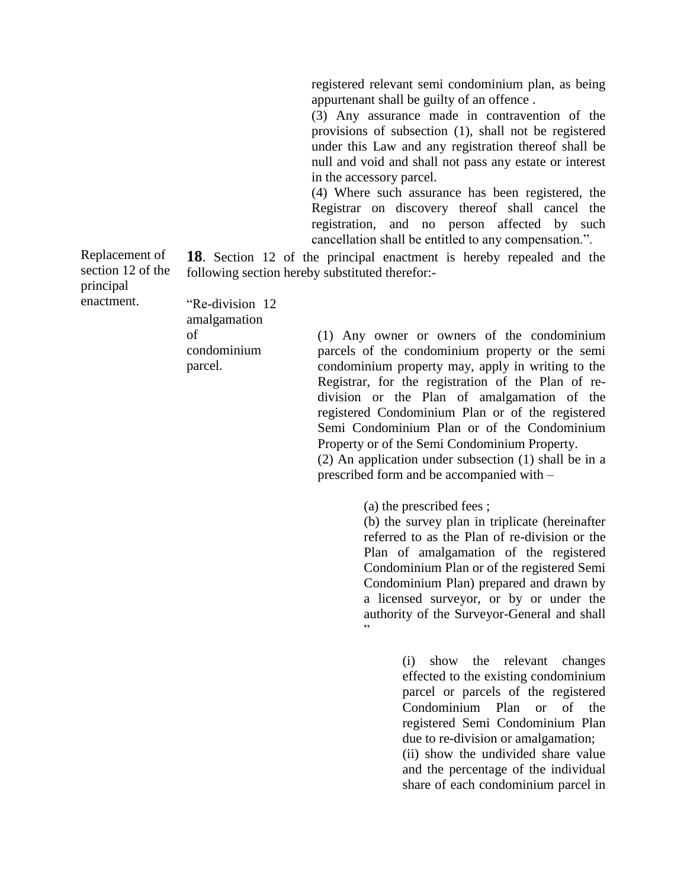registered relevant semi condominium plan, as being appurtenant shall be guilty of an offence .

(3) Any assurance made in contravention of the provisions of subsection (1), shall not be registered under this Law and any registration thereof shall be null and void and shall not pass any estate or interest in the accessory parcel.

(4) Where such assurance has been registered, the Registrar on discovery thereof shall cancel the registration, and no person affected by such cancellation shall be entitled to any compensation.".

Replacement of section 12 of the principal enactment. **18**. Section 12 of the principal enactment is hereby repealed and the following section hereby substituted therefor:-

"Re-division 12 amalgamation of condominium parcel.

(1) Any owner or owners of the condominium parcels of the condominium property or the semi condominium property may, apply in writing to the Registrar, for the registration of the Plan of redivision or the Plan of amalgamation of the registered Condominium Plan or of the registered Semi Condominium Plan or of the Condominium Property or of the Semi Condominium Property.

(2) An application under subsection (1) shall be in a prescribed form and be accompanied with –

(a) the prescribed fees ;

(b) the survey plan in triplicate (hereinafter referred to as the Plan of re-division or the Plan of amalgamation of the registered Condominium Plan or of the registered Semi Condominium Plan) prepared and drawn by a licensed surveyor, or by or under the authority of the Surveyor-General and shall "

> (i) show the relevant changes effected to the existing condominium parcel or parcels of the registered Condominium Plan or of the registered Semi Condominium Plan due to re-division or amalgamation; (ii) show the undivided share value and the percentage of the individual share of each condominium parcel in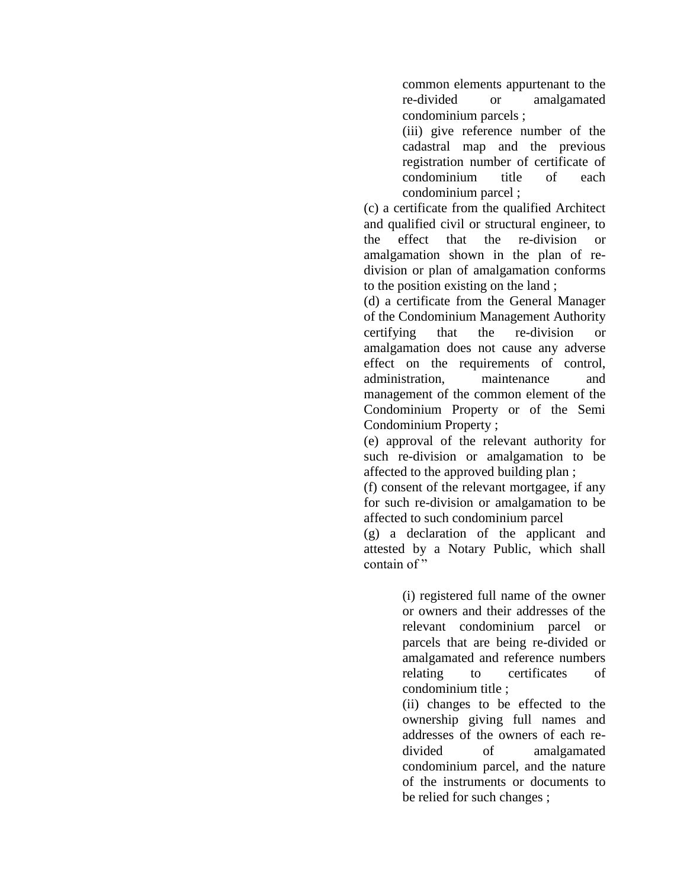common elements appurtenant to the re-divided or amalgamated condominium parcels ;

(iii) give reference number of the cadastral map and the previous registration number of certificate of condominium title of each condominium parcel ;

(c) a certificate from the qualified Architect and qualified civil or structural engineer, to the effect that the re-division or amalgamation shown in the plan of redivision or plan of amalgamation conforms to the position existing on the land ;

(d) a certificate from the General Manager of the Condominium Management Authority certifying that the re-division or amalgamation does not cause any adverse effect on the requirements of control, administration, maintenance and management of the common element of the Condominium Property or of the Semi Condominium Property ;

(e) approval of the relevant authority for such re-division or amalgamation to be affected to the approved building plan ;

(f) consent of the relevant mortgagee, if any for such re-division or amalgamation to be affected to such condominium parcel

(g) a declaration of the applicant and attested by a Notary Public, which shall contain of"

> (i) registered full name of the owner or owners and their addresses of the relevant condominium parcel or parcels that are being re-divided or amalgamated and reference numbers relating to certificates of condominium title ;

> (ii) changes to be effected to the ownership giving full names and addresses of the owners of each redivided of amalgamated condominium parcel, and the nature of the instruments or documents to be relied for such changes ;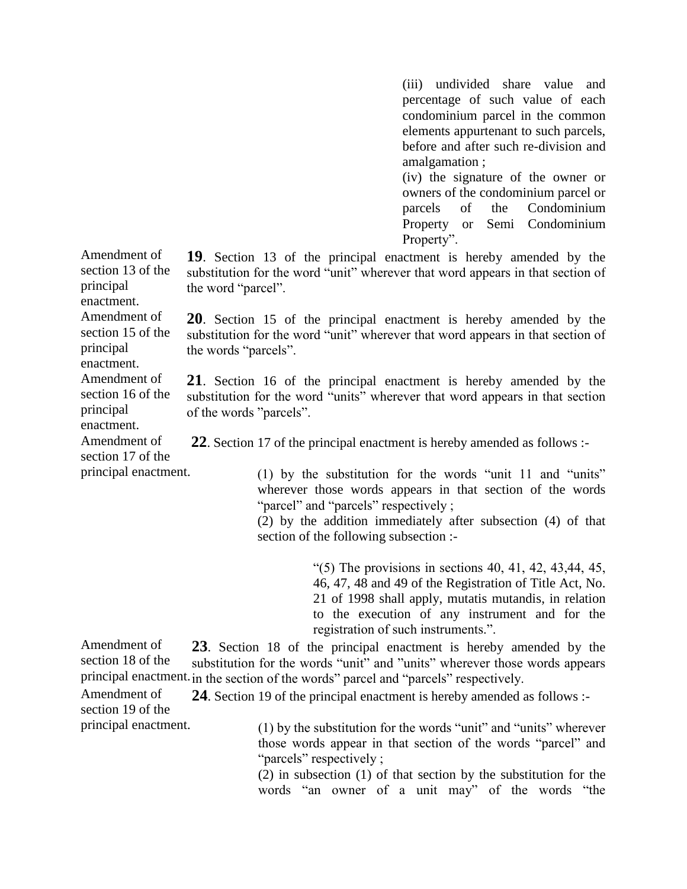(iii) undivided share value and percentage of such value of each condominium parcel in the common elements appurtenant to such parcels, before and after such re-division and amalgamation ;

(iv) the signature of the owner or owners of the condominium parcel or parcels of the Condominium Property or Semi Condominium Property".

**19**. Section 13 of the principal enactment is hereby amended by the substitution for the word "unit" wherever that word appears in that section of the word "parcel".

**20**. Section 15 of the principal enactment is hereby amended by the substitution for the word "unit" wherever that word appears in that section of the words "parcels".

**21**. Section 16 of the principal enactment is hereby amended by the substitution for the word "units" wherever that word appears in that section of the words "parcels".

**22**. Section 17 of the principal enactment is hereby amended as follows :-

(1) by the substitution for the words "unit 11 and "units" wherever those words appears in that section of the words "parcel" and "parcels" respectively ;

(2) by the addition immediately after subsection (4) of that section of the following subsection :-

> "(5) The provisions in sections  $40, 41, 42, 43, 44, 45,$ 46, 47, 48 and 49 of the Registration of Title Act, No. 21 of 1998 shall apply, mutatis mutandis, in relation to the execution of any instrument and for the registration of such instruments.".

Amendment of section 18 of the principal enactment. in the section of the words" parcel and "parcels" respectively. **23**. Section 18 of the principal enactment is hereby amended by the substitution for the words "unit" and "units" wherever those words appears

Amendment of section 19 of the principal enactment. **24**. Section 19 of the principal enactment is hereby amended as follows :-

(1) by the substitution for the words "unit" and "units" wherever those words appear in that section of the words "parcel" and "parcels" respectively;

(2) in subsection (1) of that section by the substitution for the words "an owner of a unit may" of the words "the

section 13 of the principal enactment. Amendment of section 15 of the principal enactment. Amendment of section 16 of the principal enactment. Amendment of section 17 of the principal enactment.

Amendment of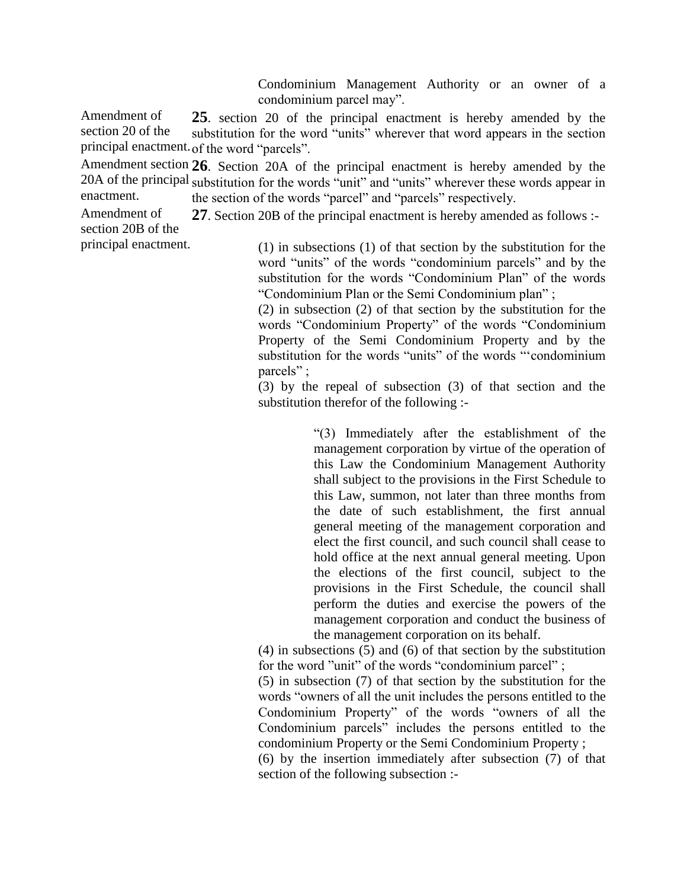Condominium Management Authority or an owner of a condominium parcel may".

Amendment of section 20 of the principal enactment. of the word "parcels". **25**. section 20 of the principal enactment is hereby amended by the substitution for the word "units" wherever that word appears in the section

Amendment section **26**. Section 20A of the principal enactment is hereby amended by the 20A of the principal substitution for the words "unit" and "units" wherever these words appear in enactment. the section of the words "parcel" and "parcels" respectively.

Amendment of section 20B of the **27**. Section 20B of the principal enactment is hereby amended as follows :-

principal enactment.

(1) in subsections (1) of that section by the substitution for the word "units" of the words "condominium parcels" and by the substitution for the words "Condominium Plan" of the words "Condominium Plan or the Semi Condominium plan" ;

(2) in subsection (2) of that section by the substitution for the words "Condominium Property" of the words "Condominium Property of the Semi Condominium Property and by the substitution for the words "units" of the words "'condominium parcels" ;

(3) by the repeal of subsection (3) of that section and the substitution therefor of the following :-

> "(3) Immediately after the establishment of the management corporation by virtue of the operation of this Law the Condominium Management Authority shall subject to the provisions in the First Schedule to this Law, summon, not later than three months from the date of such establishment, the first annual general meeting of the management corporation and elect the first council, and such council shall cease to hold office at the next annual general meeting. Upon the elections of the first council, subject to the provisions in the First Schedule, the council shall perform the duties and exercise the powers of the management corporation and conduct the business of the management corporation on its behalf.

(4) in subsections (5) and (6) of that section by the substitution for the word "unit" of the words "condominium parcel" ;

(5) in subsection (7) of that section by the substitution for the words "owners of all the unit includes the persons entitled to the Condominium Property" of the words "owners of all the Condominium parcels" includes the persons entitled to the condominium Property or the Semi Condominium Property ;

(6) by the insertion immediately after subsection (7) of that section of the following subsection :-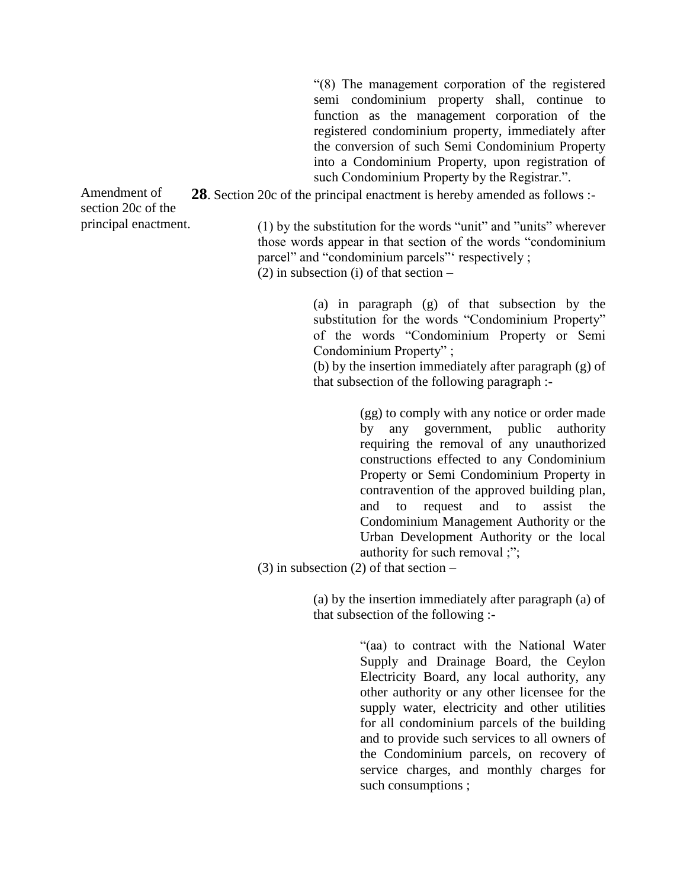"(8) The management corporation of the registered semi condominium property shall, continue to function as the management corporation of the registered condominium property, immediately after the conversion of such Semi Condominium Property into a Condominium Property, upon registration of such Condominium Property by the Registrar.".

**28**. Section 20c of the principal enactment is hereby amended as follows :-

Amendment of section 20c of the principal enactment.

(1) by the substitution for the words "unit" and "units" wherever those words appear in that section of the words "condominium parcel" and "condominium parcels" respectively ;  $(2)$  in subsection (i) of that section –

> (a) in paragraph (g) of that subsection by the substitution for the words "Condominium Property" of the words "Condominium Property or Semi Condominium Property" ;

> (b) by the insertion immediately after paragraph (g) of that subsection of the following paragraph :-

> > (gg) to comply with any notice or order made by any government, public authority requiring the removal of any unauthorized constructions effected to any Condominium Property or Semi Condominium Property in contravention of the approved building plan, and to request and to assist the Condominium Management Authority or the Urban Development Authority or the local authority for such removal ;";

(3) in subsection (2) of that section –

(a) by the insertion immediately after paragraph (a) of that subsection of the following :-

> "(aa) to contract with the National Water Supply and Drainage Board, the Ceylon Electricity Board, any local authority, any other authority or any other licensee for the supply water, electricity and other utilities for all condominium parcels of the building and to provide such services to all owners of the Condominium parcels, on recovery of service charges, and monthly charges for such consumptions ;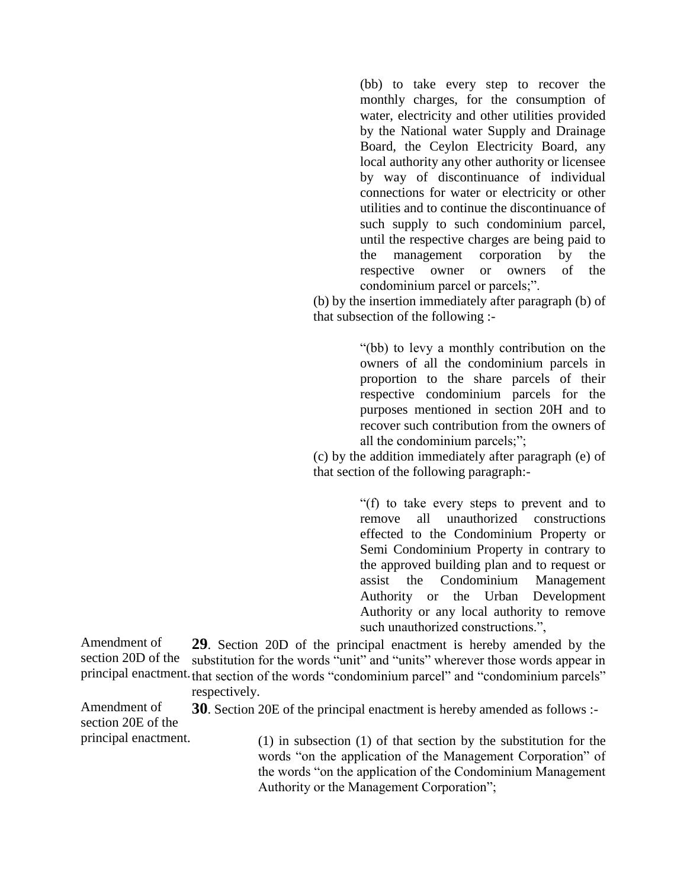(bb) to take every step to recover the monthly charges, for the consumption of water, electricity and other utilities provided by the National water Supply and Drainage Board, the Ceylon Electricity Board, any local authority any other authority or licensee by way of discontinuance of individual connections for water or electricity or other utilities and to continue the discontinuance of such supply to such condominium parcel, until the respective charges are being paid to the management corporation by the respective owner or owners of the condominium parcel or parcels;".

(b) by the insertion immediately after paragraph (b) of that subsection of the following :-

> "(bb) to levy a monthly contribution on the owners of all the condominium parcels in proportion to the share parcels of their respective condominium parcels for the purposes mentioned in section 20H and to recover such contribution from the owners of all the condominium parcels;";

(c) by the addition immediately after paragraph (e) of that section of the following paragraph:-

> "(f) to take every steps to prevent and to remove all unauthorized constructions effected to the Condominium Property or Semi Condominium Property in contrary to the approved building plan and to request or assist the Condominium Management Authority or the Urban Development Authority or any local authority to remove such unauthorized constructions.",

Amendment of section 20D of the principal enactment. that section of the words "condominium parcel" and "condominium parcels" **29**. Section 20D of the principal enactment is hereby amended by the substitution for the words "unit" and "units" wherever those words appear in

respectively.

Amendment of section 20E of the **30**. Section 20E of the principal enactment is hereby amended as follows :-

principal enactment.

(1) in subsection (1) of that section by the substitution for the words "on the application of the Management Corporation" of the words "on the application of the Condominium Management Authority or the Management Corporation";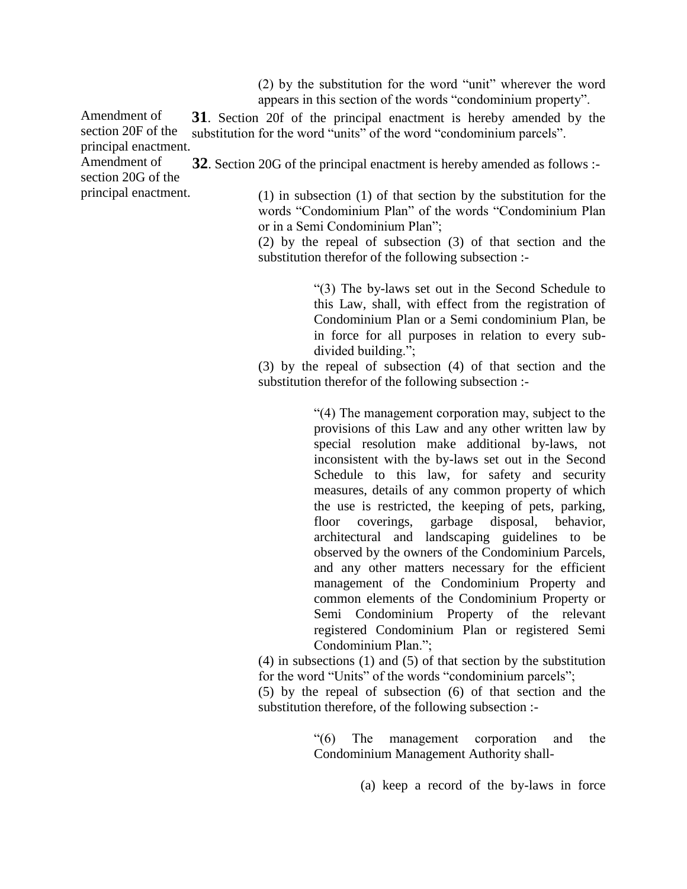(2) by the substitution for the word "unit" wherever the word appears in this section of the words "condominium property".

Amendment of **31**. Section 20f of the principal enactment is hereby amended by the substitution for the word "units" of the word "condominium parcels".

section 20G of the principal enactment. **32**. Section 20G of the principal enactment is hereby amended as follows :-

(1) in subsection (1) of that section by the substitution for the words "Condominium Plan" of the words "Condominium Plan or in a Semi Condominium Plan";

(2) by the repeal of subsection (3) of that section and the substitution therefor of the following subsection :-

> "(3) The by-laws set out in the Second Schedule to this Law, shall, with effect from the registration of Condominium Plan or a Semi condominium Plan, be in force for all purposes in relation to every subdivided building.";

(3) by the repeal of subsection (4) of that section and the substitution therefor of the following subsection :-

> "(4) The management corporation may, subject to the provisions of this Law and any other written law by special resolution make additional by-laws, not inconsistent with the by-laws set out in the Second Schedule to this law, for safety and security measures, details of any common property of which the use is restricted, the keeping of pets, parking, floor coverings, garbage disposal, behavior, architectural and landscaping guidelines to be observed by the owners of the Condominium Parcels, and any other matters necessary for the efficient management of the Condominium Property and common elements of the Condominium Property or Semi Condominium Property of the relevant registered Condominium Plan or registered Semi Condominium Plan.";

(4) in subsections (1) and (5) of that section by the substitution for the word "Units" of the words "condominium parcels";

(5) by the repeal of subsection (6) of that section and the substitution therefore, of the following subsection :-

> "(6) The management corporation and the Condominium Management Authority shall-

> > (a) keep a record of the by-laws in force

section 20F of the principal enactment. Amendment of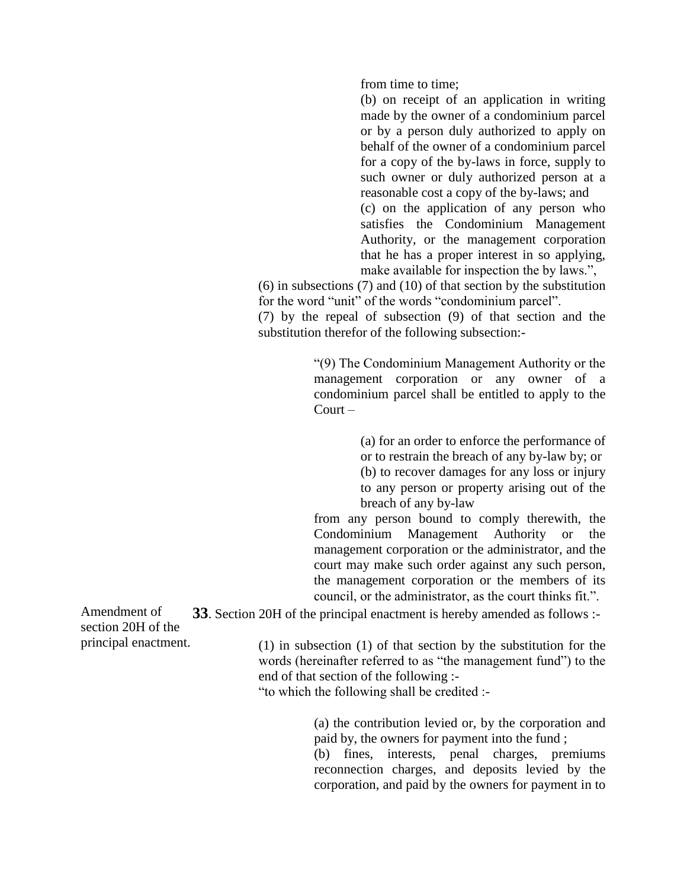from time to time;

(b) on receipt of an application in writing made by the owner of a condominium parcel or by a person duly authorized to apply on behalf of the owner of a condominium parcel for a copy of the by-laws in force, supply to such owner or duly authorized person at a reasonable cost a copy of the by-laws; and (c) on the application of any person who satisfies the Condominium Management Authority, or the management corporation that he has a proper interest in so applying, make available for inspection the by laws.",

(6) in subsections (7) and (10) of that section by the substitution for the word "unit" of the words "condominium parcel".

(7) by the repeal of subsection (9) of that section and the substitution therefor of the following subsection:-

> "(9) The Condominium Management Authority or the management corporation or any owner of a condominium parcel shall be entitled to apply to the Court –

> > (a) for an order to enforce the performance of or to restrain the breach of any by-law by; or (b) to recover damages for any loss or injury to any person or property arising out of the breach of any by-law

from any person bound to comply therewith, the Condominium Management Authority or the management corporation or the administrator, and the court may make such order against any such person, the management corporation or the members of its council, or the administrator, as the court thinks fit.".

**33**. Section 20H of the principal enactment is hereby amended as follows :-

(1) in subsection (1) of that section by the substitution for the words (hereinafter referred to as "the management fund") to the end of that section of the following :-

"to which the following shall be credited :-

(a) the contribution levied or, by the corporation and paid by, the owners for payment into the fund ;

(b) fines, interests, penal charges, premiums reconnection charges, and deposits levied by the corporation, and paid by the owners for payment in to

Amendment of section 20H of the principal enactment.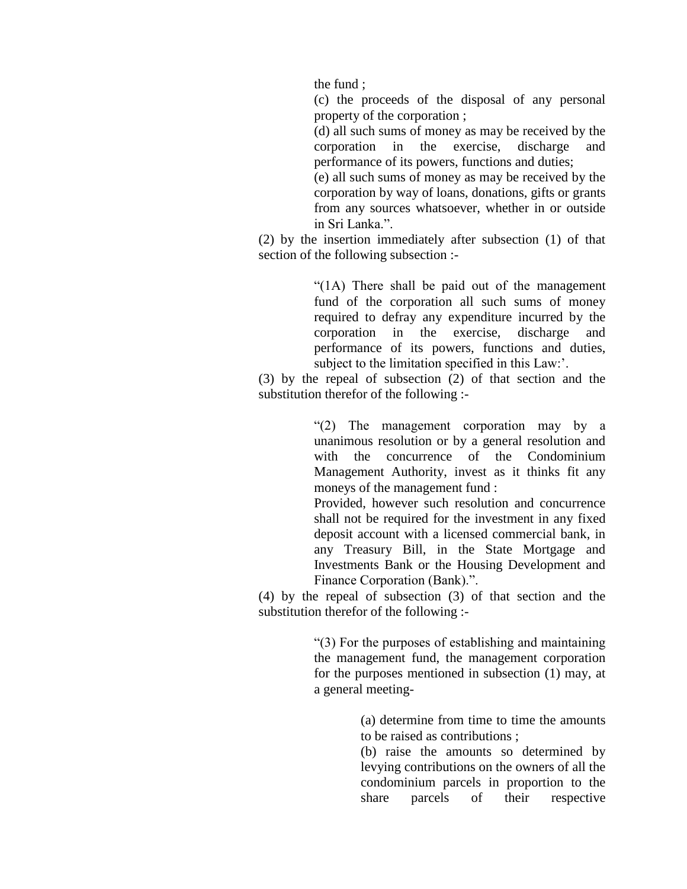the fund ;

(c) the proceeds of the disposal of any personal property of the corporation ;

(d) all such sums of money as may be received by the corporation in the exercise, discharge and performance of its powers, functions and duties;

(e) all such sums of money as may be received by the corporation by way of loans, donations, gifts or grants from any sources whatsoever, whether in or outside in Sri Lanka.".

(2) by the insertion immediately after subsection (1) of that section of the following subsection :-

> "(1A) There shall be paid out of the management fund of the corporation all such sums of money required to defray any expenditure incurred by the corporation in the exercise, discharge and performance of its powers, functions and duties, subject to the limitation specified in this Law:'.

(3) by the repeal of subsection (2) of that section and the substitution therefor of the following :-

> "(2) The management corporation may by a unanimous resolution or by a general resolution and with the concurrence of the Condominium Management Authority, invest as it thinks fit any moneys of the management fund :

> Provided, however such resolution and concurrence shall not be required for the investment in any fixed deposit account with a licensed commercial bank, in any Treasury Bill, in the State Mortgage and Investments Bank or the Housing Development and Finance Corporation (Bank).".

(4) by the repeal of subsection (3) of that section and the substitution therefor of the following :-

> "(3) For the purposes of establishing and maintaining the management fund, the management corporation for the purposes mentioned in subsection (1) may, at a general meeting-

> > (a) determine from time to time the amounts to be raised as contributions ;

> > (b) raise the amounts so determined by levying contributions on the owners of all the condominium parcels in proportion to the share parcels of their respective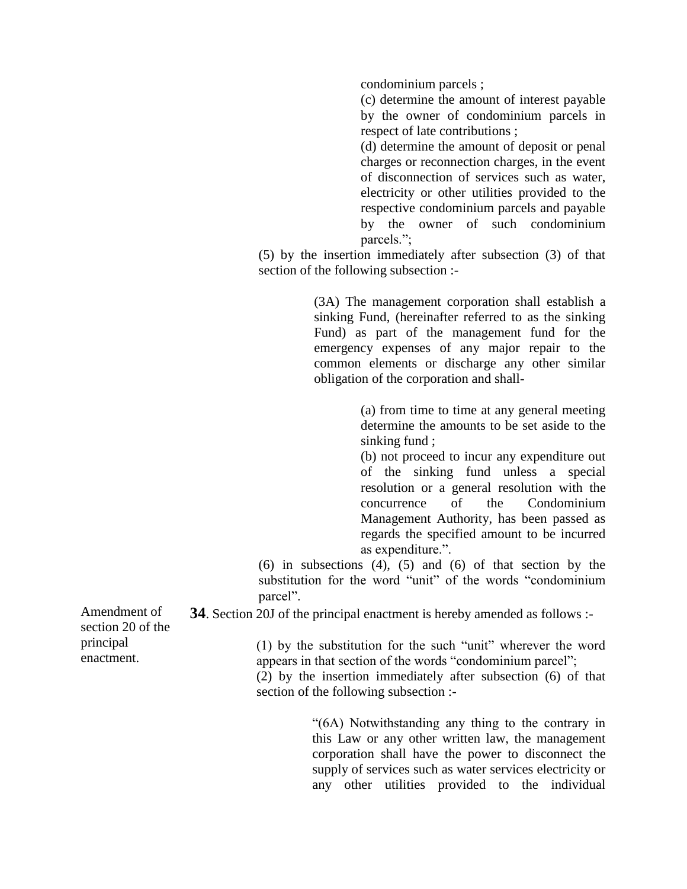condominium parcels ;

(c) determine the amount of interest payable by the owner of condominium parcels in respect of late contributions ;

(d) determine the amount of deposit or penal charges or reconnection charges, in the event of disconnection of services such as water, electricity or other utilities provided to the respective condominium parcels and payable by the owner of such condominium parcels.";

(5) by the insertion immediately after subsection (3) of that section of the following subsection :-

> (3A) The management corporation shall establish a sinking Fund, (hereinafter referred to as the sinking Fund) as part of the management fund for the emergency expenses of any major repair to the common elements or discharge any other similar obligation of the corporation and shall-

> > (a) from time to time at any general meeting determine the amounts to be set aside to the sinking fund ;

> > (b) not proceed to incur any expenditure out of the sinking fund unless a special resolution or a general resolution with the concurrence of the Condominium Management Authority, has been passed as regards the specified amount to be incurred as expenditure.".

 $(6)$  in subsections  $(4)$ ,  $(5)$  and  $(6)$  of that section by the substitution for the word "unit" of the words "condominium parcel".

**34**. Section 20J of the principal enactment is hereby amended as follows :-

section 20 of the principal enactment.

Amendment of

(1) by the substitution for the such "unit" wherever the word appears in that section of the words "condominium parcel";

(2) by the insertion immediately after subsection (6) of that section of the following subsection :-

> "(6A) Notwithstanding any thing to the contrary in this Law or any other written law, the management corporation shall have the power to disconnect the supply of services such as water services electricity or any other utilities provided to the individual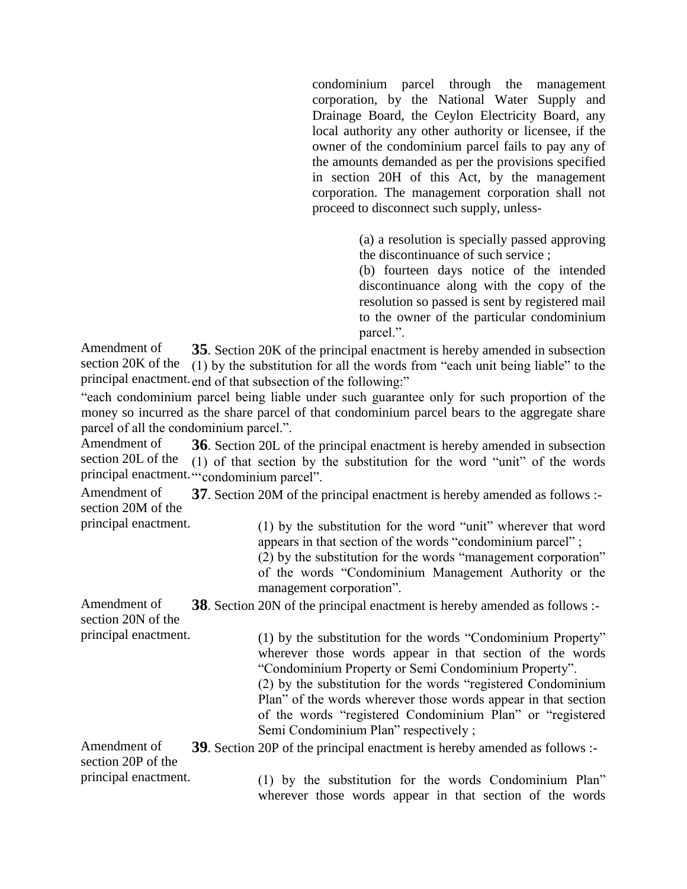condominium parcel through the management corporation, by the National Water Supply and Drainage Board, the Ceylon Electricity Board, any local authority any other authority or licensee, if the owner of the condominium parcel fails to pay any of the amounts demanded as per the provisions specified in section 20H of this Act, by the management corporation. The management corporation shall not proceed to disconnect such supply, unless-

> (a) a resolution is specially passed approving the discontinuance of such service ;

> (b) fourteen days notice of the intended discontinuance along with the copy of the resolution so passed is sent by registered mail to the owner of the particular condominium parcel.".

Amendment of section 20K of the principal enactment. end of that subsection of the following:" **35**. Section 20K of the principal enactment is hereby amended in subsection (1) by the substitution for all the words from "each unit being liable" to the

"each condominium parcel being liable under such guarantee only for such proportion of the money so incurred as the share parcel of that condominium parcel bears to the aggregate share parcel of all the condominium parcel.".

Amendment of section 20L of the principal enactment. "condominium parcel". **36**. Section 20L of the principal enactment is hereby amended in subsection (1) of that section by the substitution for the word "unit" of the words

Amendment of section 20M of the **37**. Section 20M of the principal enactment is hereby amended as follows :-

principal enactment.

(1) by the substitution for the word "unit" wherever that word appears in that section of the words "condominium parcel" ;

(2) by the substitution for the words "management corporation"

of the words "Condominium Management Authority or the management corporation".

Amendment of section 20N of the principal enactment. **38**. Section 20N of the principal enactment is hereby amended as follows :-

(1) by the substitution for the words "Condominium Property" wherever those words appear in that section of the words "Condominium Property or Semi Condominium Property".

(2) by the substitution for the words "registered Condominium Plan" of the words wherever those words appear in that section of the words "registered Condominium Plan" or "registered Semi Condominium Plan" respectively ;

Amendment of section 20P of the principal enactment. **39**. Section 20P of the principal enactment is hereby amended as follows :-

(1) by the substitution for the words Condominium Plan" wherever those words appear in that section of the words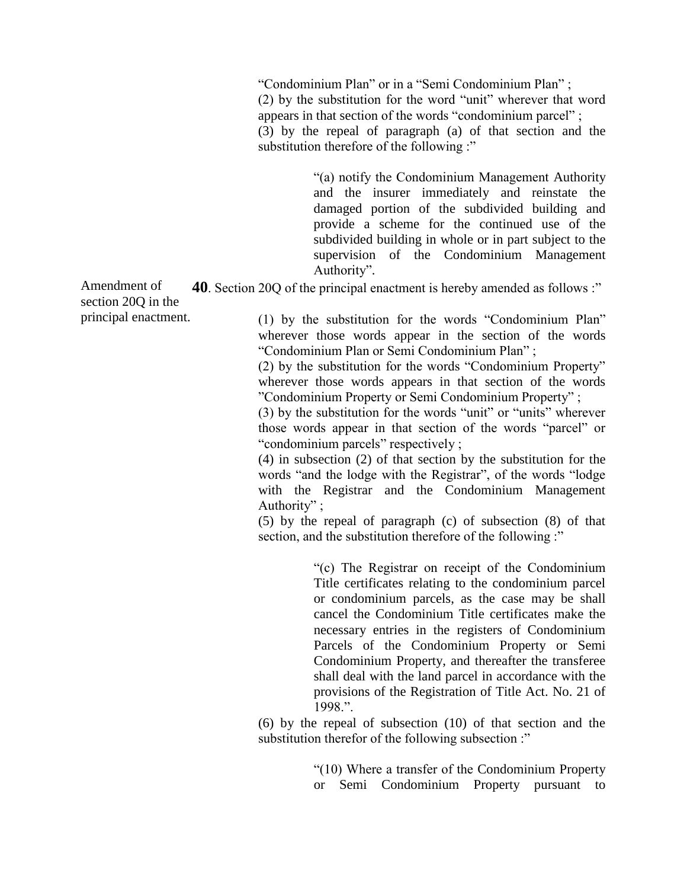"Condominium Plan" or in a "Semi Condominium Plan" ;

(2) by the substitution for the word "unit" wherever that word appears in that section of the words "condominium parcel" ;

(3) by the repeal of paragraph (a) of that section and the substitution therefore of the following :"

> "(a) notify the Condominium Management Authority and the insurer immediately and reinstate the damaged portion of the subdivided building and provide a scheme for the continued use of the subdivided building in whole or in part subject to the supervision of the Condominium Management Authority".

Amendment of **40**. Section 20Q of the principal enactment is hereby amended as follows :"

(1) by the substitution for the words "Condominium Plan" wherever those words appear in the section of the words "Condominium Plan or Semi Condominium Plan" ;

(2) by the substitution for the words "Condominium Property" wherever those words appears in that section of the words "Condominium Property or Semi Condominium Property" ;

(3) by the substitution for the words "unit" or "units" wherever those words appear in that section of the words "parcel" or "condominium parcels" respectively ;

(4) in subsection (2) of that section by the substitution for the words "and the lodge with the Registrar", of the words "lodge with the Registrar and the Condominium Management Authority" ;

(5) by the repeal of paragraph (c) of subsection (8) of that section, and the substitution therefore of the following :"

> "(c) The Registrar on receipt of the Condominium Title certificates relating to the condominium parcel or condominium parcels, as the case may be shall cancel the Condominium Title certificates make the necessary entries in the registers of Condominium Parcels of the Condominium Property or Semi Condominium Property, and thereafter the transferee shall deal with the land parcel in accordance with the provisions of the Registration of Title Act. No. 21 of 1998.".

(6) by the repeal of subsection (10) of that section and the substitution therefor of the following subsection :"

> "(10) Where a transfer of the Condominium Property or Semi Condominium Property pursuant to

section 20Q in the principal enactment.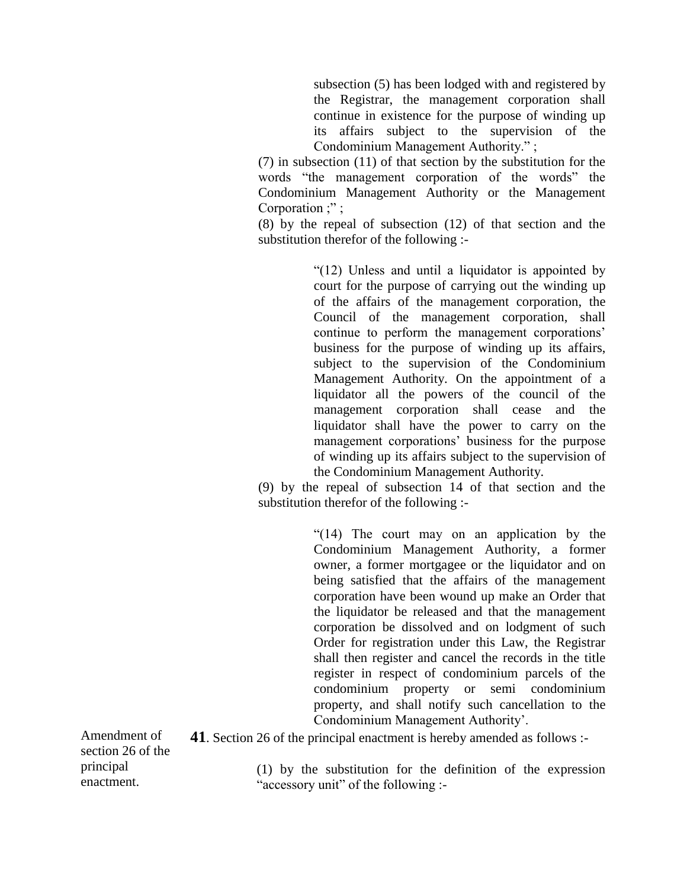subsection (5) has been lodged with and registered by the Registrar, the management corporation shall continue in existence for the purpose of winding up its affairs subject to the supervision of the Condominium Management Authority." ;

(7) in subsection (11) of that section by the substitution for the words "the management corporation of the words" the Condominium Management Authority or the Management Corporation ;" ;

(8) by the repeal of subsection (12) of that section and the substitution therefor of the following :-

> "(12) Unless and until a liquidator is appointed by court for the purpose of carrying out the winding up of the affairs of the management corporation, the Council of the management corporation, shall continue to perform the management corporations' business for the purpose of winding up its affairs, subject to the supervision of the Condominium Management Authority. On the appointment of a liquidator all the powers of the council of the management corporation shall cease and the liquidator shall have the power to carry on the management corporations' business for the purpose of winding up its affairs subject to the supervision of the Condominium Management Authority.

(9) by the repeal of subsection 14 of that section and the substitution therefor of the following :-

> "(14) The court may on an application by the Condominium Management Authority, a former owner, a former mortgagee or the liquidator and on being satisfied that the affairs of the management corporation have been wound up make an Order that the liquidator be released and that the management corporation be dissolved and on lodgment of such Order for registration under this Law, the Registrar shall then register and cancel the records in the title register in respect of condominium parcels of the condominium property or semi condominium property, and shall notify such cancellation to the Condominium Management Authority'.

Amendment of section 26 of the principal enactment.

**41**. Section 26 of the principal enactment is hereby amended as follows :-

(1) by the substitution for the definition of the expression "accessory unit" of the following :-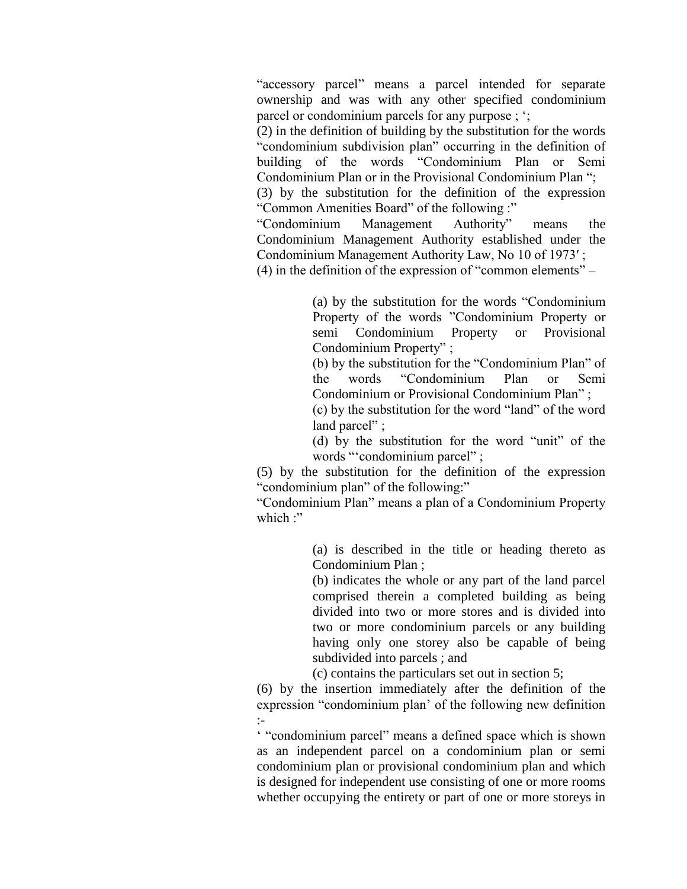"accessory parcel" means a parcel intended for separate ownership and was with any other specified condominium parcel or condominium parcels for any purpose ; ';

(2) in the definition of building by the substitution for the words "condominium subdivision plan" occurring in the definition of building of the words "Condominium Plan or Semi Condominium Plan or in the Provisional Condominium Plan ";

(3) by the substitution for the definition of the expression "Common Amenities Board" of the following :"

"Condominium Management Authority" means the Condominium Management Authority established under the Condominium Management Authority Law, No 10 of 1973′ ;

(4) in the definition of the expression of "common elements" –

(a) by the substitution for the words "Condominium Property of the words "Condominium Property or semi Condominium Property or Provisional Condominium Property" ;

(b) by the substitution for the "Condominium Plan" of the words "Condominium Plan or Semi Condominium or Provisional Condominium Plan" ;

(c) by the substitution for the word "land" of the word land parcel" ;

(d) by the substitution for the word "unit" of the words "'condominium parcel" ;

(5) by the substitution for the definition of the expression "condominium plan" of the following:"

"Condominium Plan" means a plan of a Condominium Property which  $\cdot$ "

> (a) is described in the title or heading thereto as Condominium Plan ;

> (b) indicates the whole or any part of the land parcel comprised therein a completed building as being divided into two or more stores and is divided into two or more condominium parcels or any building having only one storey also be capable of being subdivided into parcels ; and

(c) contains the particulars set out in section 5;

(6) by the insertion immediately after the definition of the expression "condominium plan' of the following new definition :-

' "condominium parcel" means a defined space which is shown as an independent parcel on a condominium plan or semi condominium plan or provisional condominium plan and which is designed for independent use consisting of one or more rooms whether occupying the entirety or part of one or more storeys in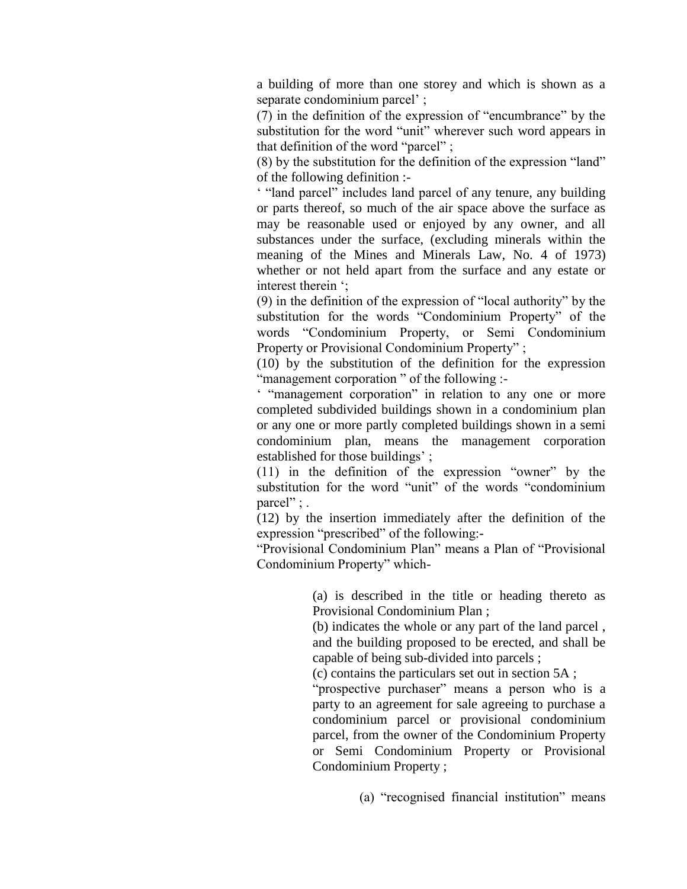a building of more than one storey and which is shown as a separate condominium parcel' ;

(7) in the definition of the expression of "encumbrance" by the substitution for the word "unit" wherever such word appears in that definition of the word "parcel" ;

(8) by the substitution for the definition of the expression "land" of the following definition :-

' "land parcel" includes land parcel of any tenure, any building or parts thereof, so much of the air space above the surface as may be reasonable used or enjoyed by any owner, and all substances under the surface, (excluding minerals within the meaning of the Mines and Minerals Law, No. 4 of 1973) whether or not held apart from the surface and any estate or interest therein ';

(9) in the definition of the expression of "local authority" by the substitution for the words "Condominium Property" of the words "Condominium Property, or Semi Condominium Property or Provisional Condominium Property" ;

(10) by the substitution of the definition for the expression "management corporation" of the following :-

' "management corporation" in relation to any one or more completed subdivided buildings shown in a condominium plan or any one or more partly completed buildings shown in a semi condominium plan, means the management corporation established for those buildings' ;

(11) in the definition of the expression "owner" by the substitution for the word "unit" of the words "condominium parcel";

(12) by the insertion immediately after the definition of the expression "prescribed" of the following:-

"Provisional Condominium Plan" means a Plan of "Provisional Condominium Property" which-

> (a) is described in the title or heading thereto as Provisional Condominium Plan ;

> (b) indicates the whole or any part of the land parcel , and the building proposed to be erected, and shall be capable of being sub-divided into parcels ;

(c) contains the particulars set out in section 5A ;

"prospective purchaser" means a person who is a party to an agreement for sale agreeing to purchase a condominium parcel or provisional condominium parcel, from the owner of the Condominium Property or Semi Condominium Property or Provisional Condominium Property ;

(a) "recognised financial institution" means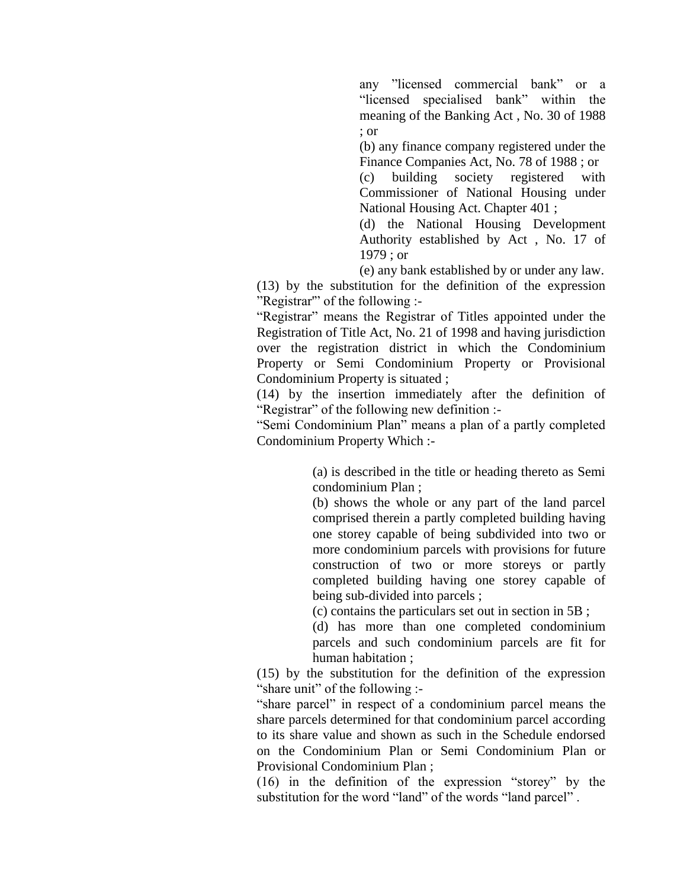any "licensed commercial bank" or a "licensed specialised bank" within the meaning of the Banking Act , No. 30 of 1988 ; or

(b) any finance company registered under the Finance Companies Act, No. 78 of 1988 ; or

(c) building society registered with Commissioner of National Housing under National Housing Act. Chapter 401 ;

(d) the National Housing Development Authority established by Act , No. 17 of 1979 ; or

(e) any bank established by or under any law.

(13) by the substitution for the definition of the expression "Registrar'" of the following :-

"Registrar" means the Registrar of Titles appointed under the Registration of Title Act, No. 21 of 1998 and having jurisdiction over the registration district in which the Condominium Property or Semi Condominium Property or Provisional Condominium Property is situated ;

(14) by the insertion immediately after the definition of "Registrar" of the following new definition :-

"Semi Condominium Plan" means a plan of a partly completed Condominium Property Which :-

> (a) is described in the title or heading thereto as Semi condominium Plan ;

> (b) shows the whole or any part of the land parcel comprised therein a partly completed building having one storey capable of being subdivided into two or more condominium parcels with provisions for future construction of two or more storeys or partly completed building having one storey capable of being sub-divided into parcels ;

(c) contains the particulars set out in section in 5B ;

(d) has more than one completed condominium parcels and such condominium parcels are fit for human habitation ;

(15) by the substitution for the definition of the expression "share unit" of the following :-

"share parcel" in respect of a condominium parcel means the share parcels determined for that condominium parcel according to its share value and shown as such in the Schedule endorsed on the Condominium Plan or Semi Condominium Plan or Provisional Condominium Plan ;

(16) in the definition of the expression "storey" by the substitution for the word "land" of the words "land parcel".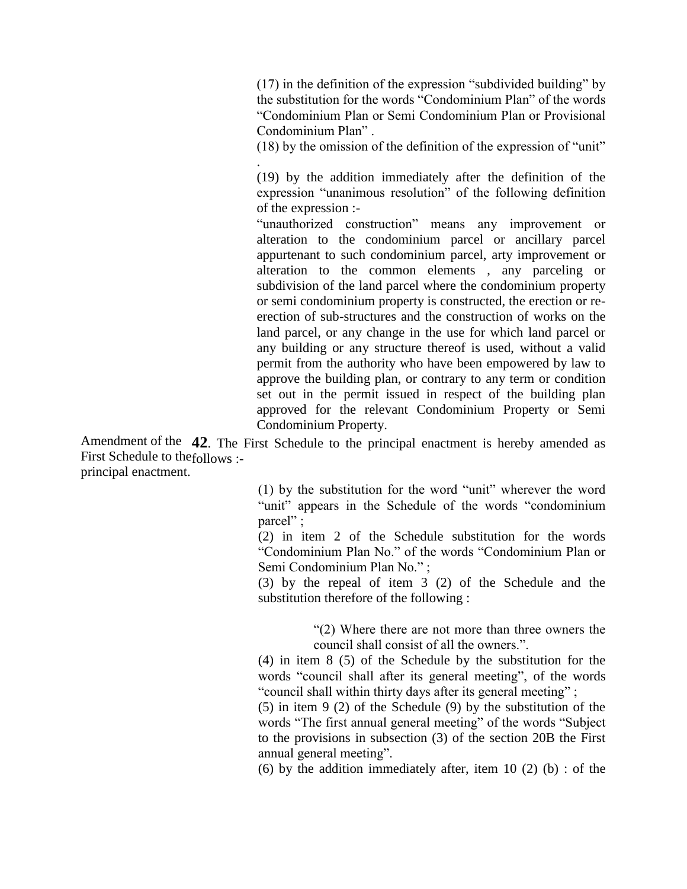(17) in the definition of the expression "subdivided building" by the substitution for the words "Condominium Plan" of the words "Condominium Plan or Semi Condominium Plan or Provisional Condominium Plan" .

(18) by the omission of the definition of the expression of "unit"

(19) by the addition immediately after the definition of the expression "unanimous resolution" of the following definition of the expression :-

"unauthorized construction" means any improvement or alteration to the condominium parcel or ancillary parcel appurtenant to such condominium parcel, arty improvement or alteration to the common elements , any parceling or subdivision of the land parcel where the condominium property or semi condominium property is constructed, the erection or reerection of sub-structures and the construction of works on the land parcel, or any change in the use for which land parcel or any building or any structure thereof is used, without a valid permit from the authority who have been empowered by law to approve the building plan, or contrary to any term or condition set out in the permit issued in respect of the building plan approved for the relevant Condominium Property or Semi Condominium Property.

Amendment of the **42**. The First Schedule to the principal enactment is hereby amended as First Schedule to the follows :principal enactment.

.

(1) by the substitution for the word "unit" wherever the word "unit" appears in the Schedule of the words "condominium parcel";

(2) in item 2 of the Schedule substitution for the words "Condominium Plan No." of the words "Condominium Plan or Semi Condominium Plan No." ;

(3) by the repeal of item 3 (2) of the Schedule and the substitution therefore of the following :

> "(2) Where there are not more than three owners the council shall consist of all the owners.".

(4) in item 8 (5) of the Schedule by the substitution for the words "council shall after its general meeting", of the words "council shall within thirty days after its general meeting" ;

(5) in item 9 (2) of the Schedule (9) by the substitution of the words "The first annual general meeting" of the words "Subject to the provisions in subsection (3) of the section 20B the First annual general meeting".

(6) by the addition immediately after, item 10 (2) (b) : of the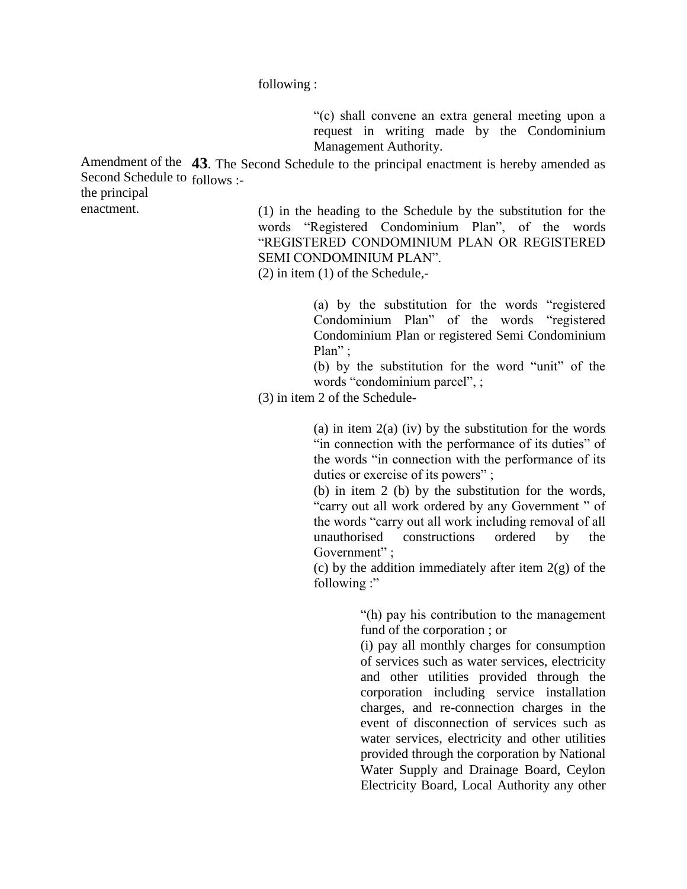following :

"(c) shall convene an extra general meeting upon a request in writing made by the Condominium Management Authority.

Amendment of the 43. The Second Schedule to the principal enactment is hereby amended as Second Schedule to follows :-

the principal

enactment.

(1) in the heading to the Schedule by the substitution for the words "Registered Condominium Plan", of the words "REGISTERED CONDOMINIUM PLAN OR REGISTERED SEMI CONDOMINIUM PLAN".

(2) in item (1) of the Schedule,-

(a) by the substitution for the words "registered Condominium Plan" of the words "registered Condominium Plan or registered Semi Condominium Plan" ;

(b) by the substitution for the word "unit" of the words "condominium parcel", ;

(3) in item 2 of the Schedule-

(a) in item  $2(a)$  (iv) by the substitution for the words "in connection with the performance of its duties" of the words "in connection with the performance of its duties or exercise of its powers" ;

(b) in item 2 (b) by the substitution for the words, "carry out all work ordered by any Government " of the words "carry out all work including removal of all unauthorised constructions ordered by the Government":

(c) by the addition immediately after item  $2(g)$  of the following :"

> "(h) pay his contribution to the management fund of the corporation ; or

> (i) pay all monthly charges for consumption of services such as water services, electricity and other utilities provided through the corporation including service installation charges, and re-connection charges in the event of disconnection of services such as water services, electricity and other utilities provided through the corporation by National Water Supply and Drainage Board, Ceylon Electricity Board, Local Authority any other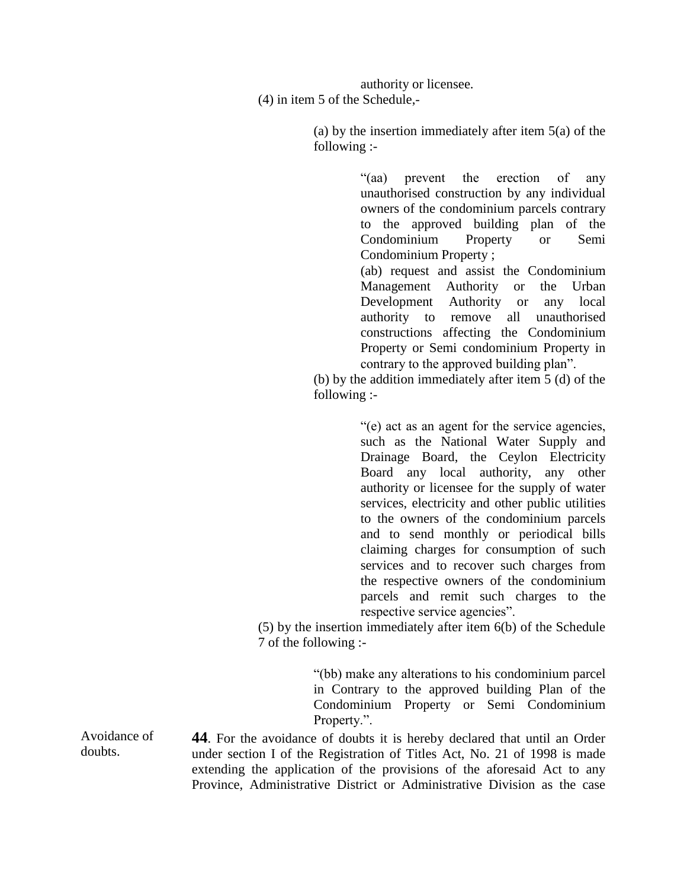authority or licensee. (4) in item 5 of the Schedule,-

> (a) by the insertion immediately after item 5(a) of the following :-

> > "(aa) prevent the erection of any unauthorised construction by any individual owners of the condominium parcels contrary to the approved building plan of the Condominium Property or Semi Condominium Property ; (ab) request and assist the Condominium Management Authority or the Urban Development Authority or any local authority to remove all unauthorised

> > constructions affecting the Condominium Property or Semi condominium Property in contrary to the approved building plan".

(b) by the addition immediately after item 5 (d) of the following :-

> "(e) act as an agent for the service agencies, such as the National Water Supply and Drainage Board, the Ceylon Electricity Board any local authority, any other authority or licensee for the supply of water services, electricity and other public utilities to the owners of the condominium parcels and to send monthly or periodical bills claiming charges for consumption of such services and to recover such charges from the respective owners of the condominium parcels and remit such charges to the respective service agencies".

(5) by the insertion immediately after item 6(b) of the Schedule 7 of the following :-

> "(bb) make any alterations to his condominium parcel in Contrary to the approved building Plan of the Condominium Property or Semi Condominium Property.".

**44**. For the avoidance of doubts it is hereby declared that until an Order under section I of the Registration of Titles Act, No. 21 of 1998 is made extending the application of the provisions of the aforesaid Act to any Province, Administrative District or Administrative Division as the case

Avoidance of doubts.